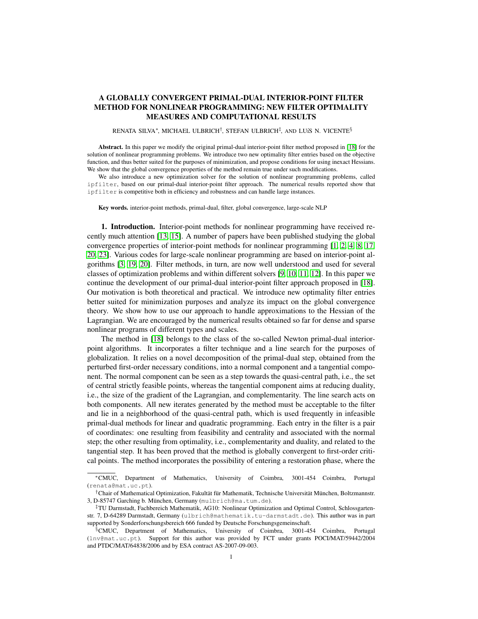## A GLOBALLY CONVERGENT PRIMAL-DUAL INTERIOR-POINT FILTER METHOD FOR NONLINEAR PROGRAMMING: NEW FILTER OPTIMALITY MEASURES AND COMPUTATIONAL RESULTS

## RENATA SILVA\*, MICHAEL ULBRICH<sup>†</sup>, STEFAN ULBRICH<sup>‡</sup>, AND LUíS N. VICENTE<sup>§</sup>

Abstract. In this paper we modify the original primal-dual interior-point filter method proposed in [\[18\]](#page-31-0) for the solution of nonlinear programming problems. We introduce two new optimality filter entries based on the objective function, and thus better suited for the purposes of minimization, and propose conditions for using inexact Hessians. We show that the global convergence properties of the method remain true under such modifications.

We also introduce a new optimization solver for the solution of nonlinear programming problems, called ipfilter, based on our primal-dual interior-point filter approach. The numerical results reported show that ipfilter is competitive both in efficiency and robustness and can handle large instances.

Key words. interior-point methods, primal-dual, filter, global convergence, large-scale NLP

1. Introduction. Interior-point methods for nonlinear programming have received recently much attention [\[13,](#page-31-1) [15\]](#page-31-2). A number of papers have been published studying the global convergence properties of interior-point methods for nonlinear programming [\[1,](#page-30-0) [2,](#page-30-1) [4,](#page-30-2) [8,](#page-30-3) [17,](#page-31-3) [20,](#page-31-4) [23\]](#page-31-5). Various codes for large-scale nonlinear programming are based on interior-point algorithms [\[3,](#page-30-4) [19,](#page-31-6) [20\]](#page-31-4). Filter methods, in turn, are now well understood and used for several classes of optimization problems and within different solvers [\[9,](#page-30-5) [10,](#page-31-7) [11,](#page-31-8) [12\]](#page-31-9). In this paper we continue the development of our primal-dual interior-point filter approach proposed in [\[18\]](#page-31-0). Our motivation is both theoretical and practical. We introduce new optimality filter entries better suited for minimization purposes and analyze its impact on the global convergence theory. We show how to use our approach to handle approximations to the Hessian of the Lagrangian. We are encouraged by the numerical results obtained so far for dense and sparse nonlinear programs of different types and scales.

The method in [\[18\]](#page-31-0) belongs to the class of the so-called Newton primal-dual interiorpoint algorithms. It incorporates a filter technique and a line search for the purposes of globalization. It relies on a novel decomposition of the primal-dual step, obtained from the perturbed first-order necessary conditions, into a normal component and a tangential component. The normal component can be seen as a step towards the quasi-central path, i.e., the set of central strictly feasible points, whereas the tangential component aims at reducing duality, i.e., the size of the gradient of the Lagrangian, and complementarity. The line search acts on both components. All new iterates generated by the method must be acceptable to the filter and lie in a neighborhood of the quasi-central path, which is used frequently in infeasible primal-dual methods for linear and quadratic programming. Each entry in the filter is a pair of coordinates: one resulting from feasibility and centrality and associated with the normal step; the other resulting from optimality, i.e., complementarity and duality, and related to the tangential step. It has been proved that the method is globally convergent to first-order critical points. The method incorporates the possibility of entering a restoration phase, where the

<sup>∗</sup>CMUC, Department of Mathematics, University of Coimbra, 3001-454 Coimbra, Portugal (renata@mat.uc.pt).

<sup>†</sup>Chair of Mathematical Optimization, Fakultät für Mathematik, Technische Universität München, Boltzmannstr. 3, D-85747 Garching b. München, Germany (mulbrich@ma.tum.de).

<sup>‡</sup>TU Darmstadt, Fachbereich Mathematik, AG10: Nonlinear Optimization and Optimal Control, Schlossgartenstr. 7, D-64289 Darmstadt, Germany (ulbrich@mathematik.tu-darmstadt.de). This author was in part supported by Sonderforschungsbereich 666 funded by Deutsche Forschungsgemeinschaft.

<sup>§</sup>CMUC, Department of Mathematics, University of Coimbra, 3001-454 Coimbra, Portugal (lnv@mat.uc.pt). Support for this author was provided by FCT under grants POCI/MAT/59442/2004 and PTDC/MAT/64838/2006 and by ESA contract AS-2007-09-003.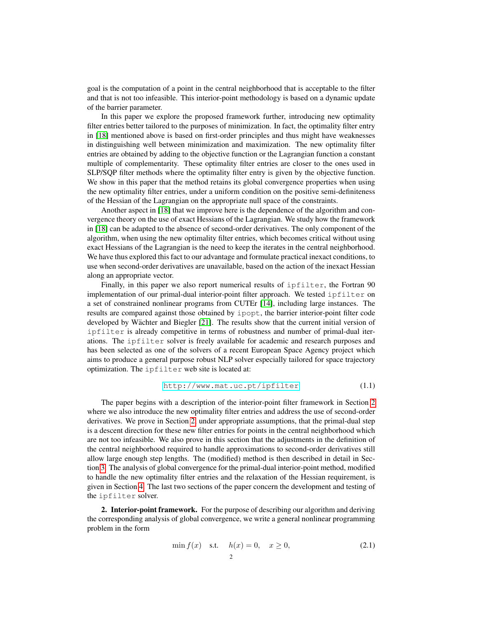goal is the computation of a point in the central neighborhood that is acceptable to the filter and that is not too infeasible. This interior-point methodology is based on a dynamic update of the barrier parameter.

In this paper we explore the proposed framework further, introducing new optimality filter entries better tailored to the purposes of minimization. In fact, the optimality filter entry in [\[18\]](#page-31-0) mentioned above is based on first-order principles and thus might have weaknesses in distinguishing well between minimization and maximization. The new optimality filter entries are obtained by adding to the objective function or the Lagrangian function a constant multiple of complementarity. These optimality filter entries are closer to the ones used in SLP/SQP filter methods where the optimality filter entry is given by the objective function. We show in this paper that the method retains its global convergence properties when using the new optimality filter entries, under a uniform condition on the positive semi-definiteness of the Hessian of the Lagrangian on the appropriate null space of the constraints.

Another aspect in [\[18\]](#page-31-0) that we improve here is the dependence of the algorithm and convergence theory on the use of exact Hessians of the Lagrangian. We study how the framework in [\[18\]](#page-31-0) can be adapted to the absence of second-order derivatives. The only component of the algorithm, when using the new optimality filter entries, which becomes critical without using exact Hessians of the Lagrangian is the need to keep the iterates in the central neighborhood. We have thus explored this fact to our advantage and formulate practical inexact conditions, to use when second-order derivatives are unavailable, based on the action of the inexact Hessian along an appropriate vector.

Finally, in this paper we also report numerical results of ipfilter, the Fortran 90 implementation of our primal-dual interior-point filter approach. We tested ipfilter on a set of constrained nonlinear programs from CUTEr [\[14\]](#page-31-10), including large instances. The results are compared against those obtained by ipopt, the barrier interior-point filter code developed by Wächter and Biegler  $[21]$ . The results show that the current initial version of ipfilter is already competitive in terms of robustness and number of primal-dual iterations. The ipfilter solver is freely available for academic and research purposes and has been selected as one of the solvers of a recent European Space Agency project which aims to produce a general purpose robust NLP solver especially tailored for space trajectory optimization. The ipfilter web site is located at:

<span id="page-1-2"></span><http://www.mat.uc.pt/ipfilter> (1.1)

The paper begins with a description of the interior-point filter framework in Section [2](#page-1-0) where we also introduce the new optimality filter entries and address the use of second-order derivatives. We prove in Section [2,](#page-1-0) under appropriate assumptions, that the primal-dual step is a descent direction for these new filter entries for points in the central neighborhood which are not too infeasible. We also prove in this section that the adjustments in the definition of the central neighborhood required to handle approximations to second-order derivatives still allow large enough step lengths. The (modified) method is then described in detail in Section [3.](#page-13-0) The analysis of global convergence for the primal-dual interior-point method, modified to handle the new optimality filter entries and the relaxation of the Hessian requirement, is given in Section [4.](#page-16-0) The last two sections of the paper concern the development and testing of the ipfilter solver.

<span id="page-1-0"></span>2. Interior-point framework. For the purpose of describing our algorithm and deriving the corresponding analysis of global convergence, we write a general nonlinear programming problem in the form

<span id="page-1-1"></span>
$$
\min f(x) \quad \text{s.t.} \quad h(x) = 0, \quad x \ge 0,
$$
\n<sup>(2.1)</sup>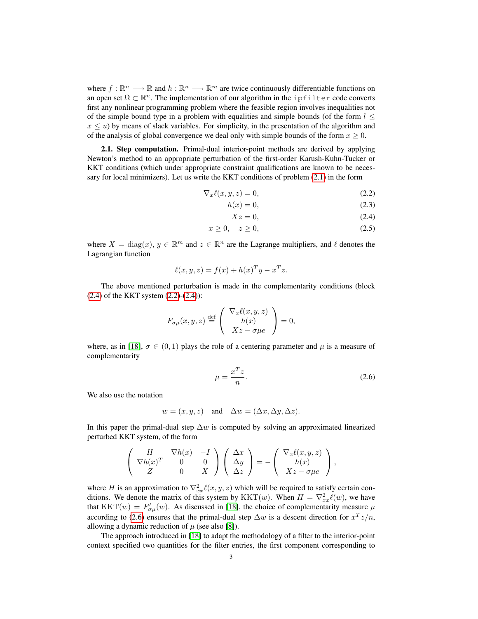where  $f : \mathbb{R}^n \longrightarrow \mathbb{R}$  and  $h : \mathbb{R}^n \longrightarrow \mathbb{R}^m$  are twice continuously differentiable functions on an open set  $\Omega \subset \mathbb{R}^n$ . The implementation of our algorithm in the ipfilter code converts first any nonlinear programming problem where the feasible region involves inequalities not of the simple bound type in a problem with equalities and simple bounds (of the form  $l \leq$  $x \leq u$ ) by means of slack variables. For simplicity, in the presentation of the algorithm and of the analysis of global convergence we deal only with simple bounds of the form  $x \geq 0$ .

2.1. Step computation. Primal-dual interior-point methods are derived by applying Newton's method to an appropriate perturbation of the first-order Karush-Kuhn-Tucker or KKT conditions (which under appropriate constraint qualifications are known to be necessary for local minimizers). Let us write the KKT conditions of problem [\(2.1\)](#page-1-1) in the form

$$
\nabla_x \ell(x, y, z) = 0,\tag{2.2}
$$

$$
h(x) = 0,\t(2.3)
$$

<span id="page-2-1"></span><span id="page-2-0"></span>
$$
Xz = 0,\t(2.4)
$$

$$
x \ge 0, \quad z \ge 0,\tag{2.5}
$$

where  $X = diag(x)$ ,  $y \in \mathbb{R}^m$  and  $z \in \mathbb{R}^n$  are the Lagrange multipliers, and  $\ell$  denotes the Lagrangian function

$$
\ell(x, y, z) = f(x) + h(x)^T y - x^T z.
$$

The above mentioned perturbation is made in the complementarity conditions (block  $(2.4)$  of the KKT system  $(2.2)-(2.4)$  $(2.2)-(2.4)$ :

<span id="page-2-2"></span>
$$
F_{\sigma\mu}(x, y, z) \stackrel{\text{def}}{=} \begin{pmatrix} \nabla_x \ell(x, y, z) \\ h(x) \\ Xz - \sigma\mu e \end{pmatrix} = 0,
$$

where, as in [\[18\]](#page-31-0),  $\sigma \in (0,1)$  plays the role of a centering parameter and  $\mu$  is a measure of complementarity

$$
\mu = \frac{x^T z}{n}.\tag{2.6}
$$

We also use the notation

$$
w = (x, y, z)
$$
 and  $\Delta w = (\Delta x, \Delta y, \Delta z)$ .

In this paper the primal-dual step  $\Delta w$  is computed by solving an approximated linearized perturbed KKT system, of the form

$$
\begin{pmatrix}\nH & \nabla h(x) & -I \\
\nabla h(x)^T & 0 & 0 \\
Z & 0 & X\n\end{pmatrix}\n\begin{pmatrix}\n\Delta x \\
\Delta y \\
\Delta z\n\end{pmatrix} = -\begin{pmatrix}\n\nabla_x \ell(x, y, z) \\
h(x) \\
Xz - \sigma \mu e\n\end{pmatrix},
$$

where H is an approximation to  $\nabla_{xx}^2 \ell(x, y, z)$  which will be required to satisfy certain conditions. We denote the matrix of this system by  $KKT(w)$ . When  $H = \nabla_{xx}^2 \ell(w)$ , we have that  $KKT(w) = F'_{\sigma\mu}(w)$ . As discussed in [\[18\]](#page-31-0), the choice of complementarity measure  $\mu$ according to [\(2.6\)](#page-2-2) ensures that the primal-dual step  $\Delta w$  is a descent direction for  $x^T z/n$ , allowing a dynamic reduction of  $\mu$  (see also [\[8\]](#page-30-3)).

The approach introduced in [\[18\]](#page-31-0) to adapt the methodology of a filter to the interior-point context specified two quantities for the filter entries, the first component corresponding to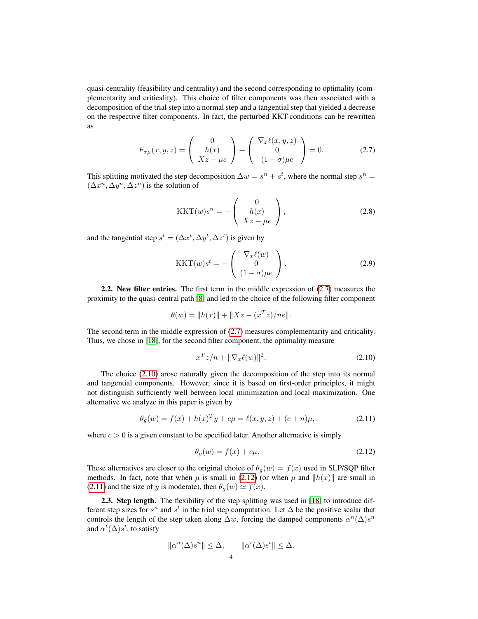<span id="page-3-0"></span>quasi-centrality (feasibility and centrality) and the second corresponding to optimality (complementarity and criticality). This choice of filter components was then associated with a decomposition of the trial step into a normal step and a tangential step that yielded a decrease on the respective filter components. In fact, the perturbed KKT-conditions can be rewritten as

$$
F_{\sigma\mu}(x,y,z) = \begin{pmatrix} 0 \\ h(x) \\ Xz - \mu e \end{pmatrix} + \begin{pmatrix} \nabla_x \ell(x,y,z) \\ 0 \\ (1 - \sigma)\mu e \end{pmatrix} = 0.
$$
 (2.7)

This splitting motivated the step decomposition  $\Delta w = s^n + s^t$ , where the normal step  $s^n =$  $(\Delta x^n, \Delta y^n, \Delta z^n)$  is the solution of

<span id="page-3-5"></span>
$$
KKT(w)s^{n} = -\begin{pmatrix} 0\\ h(x)\\ Xz - \mu e \end{pmatrix},
$$
\n(2.8)

and the tangential step  $s^t = (\Delta x^t, \Delta y^t, \Delta z^t)$  is given by

<span id="page-3-4"></span>
$$
KKT(w)s^{t} = -\begin{pmatrix} \nabla_x \ell(w) \\ 0 \\ (1-\sigma)\mu e \end{pmatrix}.
$$
 (2.9)

2.2. New filter entries. The first term in the middle expression of [\(2.7\)](#page-3-0) measures the proximity to the quasi-central path [\[8\]](#page-30-3) and led to the choice of the following filter component

$$
\theta(w) = ||h(x)|| + ||Xz - (x^T z)/ne||.
$$

The second term in the middle expression of [\(2.7\)](#page-3-0) measures complementarity and criticality. Thus, we chose in [\[18\]](#page-31-0), for the second filter component, the optimality measure

<span id="page-3-3"></span><span id="page-3-1"></span>
$$
x^T z/n + \|\nabla_x \ell(w)\|^2.
$$
 (2.10)

The choice [\(2.10\)](#page-3-1) arose naturally given the decomposition of the step into its normal and tangential components. However, since it is based on first-order principles, it might not distinguish sufficiently well between local minimization and local maximization. One alternative we analyze in this paper is given by

$$
\theta_g(w) = f(x) + h(x)^T y + c\mu = \ell(x, y, z) + (c + n)\mu,
$$
\n(2.11)

where  $c > 0$  is a given constant to be specified later. Another alternative is simply

<span id="page-3-2"></span>
$$
\theta_g(w) = f(x) + c\mu. \tag{2.12}
$$

These alternatives are closer to the original choice of  $\theta_g(w) = f(x)$  used in SLP/SQP filter methods. In fact, note that when  $\mu$  is small in [\(2.12\)](#page-3-2) (or when  $\mu$  and  $||h(x)||$  are small in [\(2.11\)](#page-3-3) and the size of y is moderate), then  $\theta_q(w) \simeq f(x)$ .

2.3. Step length. The flexibility of the step splitting was used in [\[18\]](#page-31-0) to introduce different step sizes for  $s^n$  and  $s^t$  in the trial step computation. Let  $\Delta$  be the positive scalar that controls the length of the step taken along  $\Delta w$ , forcing the damped components  $\alpha^{n}(\Delta)s^{n}$ and  $\alpha^t(\Delta)s^t$ , to satisfy

$$
\|\alpha^n(\Delta)s^n\| \leq \Delta, \qquad \|\alpha^t(\Delta)s^t\| \leq \Delta.
$$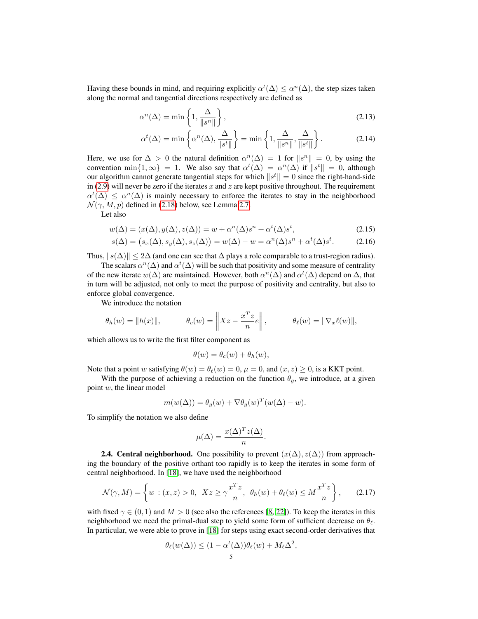Having these bounds in mind, and requiring explicitly  $\alpha^t(\Delta) \leq \alpha^n(\Delta)$ , the step sizes taken along the normal and tangential directions respectively are defined as

$$
\alpha^n(\Delta) = \min\left\{1, \frac{\Delta}{\|s^n\|}\right\},\tag{2.13}
$$

<span id="page-4-3"></span><span id="page-4-2"></span>
$$
\alpha^{t}(\Delta) = \min\left\{\alpha^{n}(\Delta), \frac{\Delta}{\|s^{t}\|}\right\} = \min\left\{1, \frac{\Delta}{\|s^{n}\|}, \frac{\Delta}{\|s^{t}\|}\right\}.
$$
 (2.14)

Here, we use for  $\Delta > 0$  the natural definition  $\alpha^{n}(\Delta) = 1$  for  $||s^{n}|| = 0$ , by using the convention  $\min\{1,\infty\} = 1$ . We also say that  $\alpha^t(\Delta) = \alpha^n(\Delta)$  if  $||s^t|| = 0$ , although our algorithm cannot generate tangential steps for which  $||s^t|| = 0$  since the right-hand-side in [\(2.9\)](#page-3-4) will never be zero if the iterates x and z are kept positive throughout. The requirement  $\alpha^t(\Delta) \leq \alpha^n(\Delta)$  is mainly necessary to enforce the iterates to stay in the neighborhood  $\mathcal{N}(\gamma, M, p)$  defined in [\(2.18\)](#page-5-0) below, see Lemma [2.7.](#page-12-0)

Let also

$$
w(\Delta) = (x(\Delta), y(\Delta), z(\Delta)) = w + \alpha^n(\Delta)s^n + \alpha^t(\Delta)s^t,
$$
\n(2.15)

$$
s(\Delta) = (s_x(\Delta), s_y(\Delta), s_z(\Delta)) = w(\Delta) - w = \alpha^n(\Delta)s^n + \alpha^t(\Delta)s^t.
$$
 (2.16)

Thus,  $||s(\Delta)|| \le 2\Delta$  (and one can see that  $\Delta$  plays a role comparable to a trust-region radius).

The scalars  $\alpha^{n}(\Delta)$  and  $\alpha^{t}(\Delta)$  will be such that positivity and some measure of centrality of the new iterate  $w(\Delta)$  are maintained. However, both  $\alpha^n(\Delta)$  and  $\alpha^t(\Delta)$  depend on  $\Delta$ , that in turn will be adjusted, not only to meet the purpose of positivity and centrality, but also to enforce global convergence.

We introduce the notation

$$
\theta_h(w) = ||h(x)||,
$$
\n $\theta_c(w) = \left\| Xz - \frac{x^T z}{n} e \right\|,$ \n $\theta_\ell(w) = \left\| \nabla_x \ell(w) \right\|,$ 

which allows us to write the first filter component as

<span id="page-4-4"></span><span id="page-4-1"></span>
$$
\theta(w) = \theta_c(w) + \theta_h(w),
$$

Note that a point w satisfying  $\theta(w) = \theta_{\ell}(w) = 0$ ,  $\mu = 0$ , and  $(x, z) \ge 0$ , is a KKT point.

With the purpose of achieving a reduction on the function  $\theta_g$ , we introduce, at a given point w, the linear model

$$
m(w(\Delta)) = \theta_g(w) + \nabla \theta_g(w)^T (w(\Delta) - w).
$$

To simplify the notation we also define

<span id="page-4-0"></span>
$$
\mu(\Delta) = \frac{x(\Delta)^T z(\Delta)}{n}.
$$

**2.4. Central neighborhood.** One possibility to prevent  $(x(\Delta), z(\Delta))$  from approaching the boundary of the positive orthant too rapidly is to keep the iterates in some form of central neighborhood. In [\[18\]](#page-31-0), we have used the neighborhood

$$
\mathcal{N}(\gamma, M) = \left\{ w : (x, z) > 0, \ Xz \ge \gamma \frac{x^T z}{n}, \ \theta_h(w) + \theta_\ell(w) \le M \frac{x^T z}{n} \right\},\tag{2.17}
$$

with fixed  $\gamma \in (0, 1)$  and  $M > 0$  (see also the references [\[8,](#page-30-3) [22\]](#page-31-12)). To keep the iterates in this neighborhood we need the primal-dual step to yield some form of sufficient decrease on  $\theta_{\ell}$ . In particular, we were able to prove in [\[18\]](#page-31-0) for steps using exact second-order derivatives that

$$
\theta_{\ell}(w(\Delta)) \le (1 - \alpha^{t}(\Delta)) \theta_{\ell}(w) + M_{\ell} \Delta^{2},
$$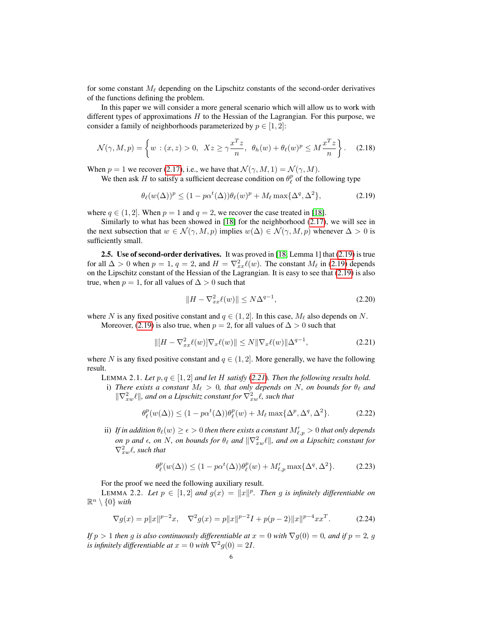for some constant  $M_\ell$  depending on the Lipschitz constants of the second-order derivatives of the functions defining the problem.

In this paper we will consider a more general scenario which will allow us to work with different types of approximations  $H$  to the Hessian of the Lagrangian. For this purpose, we consider a family of neighborhoods parameterized by  $p \in [1, 2]$ :

$$
\mathcal{N}(\gamma, M, p) = \left\{ w : (x, z) > 0, \ Xz \ge \gamma \frac{x^T z}{n}, \ \theta_h(w) + \theta_\ell(w)^p \le M \frac{x^T z}{n} \right\}.
$$
 (2.18)

When  $p = 1$  we recover [\(2.17\)](#page-4-0), i.e., we have that  $\mathcal{N}(\gamma, M, 1) = \mathcal{N}(\gamma, M)$ .

We then ask H to satisfy a sufficient decrease condition on  $\theta_{\ell}^{p}$  of the following type

<span id="page-5-0"></span>
$$
\theta_{\ell}(w(\Delta))^p \le (1 - p\alpha^t(\Delta))\theta_{\ell}(w)^p + M_{\ell} \max\{\Delta^q, \Delta^2\},\tag{2.19}
$$

where  $q \in (1, 2]$ . When  $p = 1$  and  $q = 2$ , we recover the case treated in [\[18\]](#page-31-0).

Similarly to what has been showed in [\[18\]](#page-31-0) for the neighborhood [\(2.17\)](#page-4-0), we will see in the next subsection that  $w \in \mathcal{N}(\gamma, M, p)$  implies  $w(\Delta) \in \mathcal{N}(\gamma, M, p)$  whenever  $\Delta > 0$  is sufficiently small.

2.5. Use of second-order derivatives. It was proved in [\[18,](#page-31-0) Lemma 1] that [\(2.19\)](#page-5-1) is true for all  $\Delta > 0$  when  $p = 1$ ,  $q = 2$ , and  $H = \nabla^2_{xx} \ell(w)$ . The constant  $M_{\ell}$  in [\(2.19\)](#page-5-1) depends on the Lipschitz constant of the Hessian of the Lagrangian. It is easy to see that [\(2.19\)](#page-5-1) is also true, when  $p = 1$ , for all values of  $\Delta > 0$  such that

<span id="page-5-7"></span><span id="page-5-6"></span><span id="page-5-2"></span><span id="page-5-1"></span>
$$
||H - \nabla_{xx}^2 \ell(w)|| \le N\Delta^{q-1},\tag{2.20}
$$

where N is any fixed positive constant and  $q \in (1, 2]$ . In this case,  $M_\ell$  also depends on N.

Moreover, [\(2.19\)](#page-5-1) is also true, when  $p = 2$ , for all values of  $\Delta > 0$  such that

$$
\| [H - \nabla_{xx}^2 \ell(w)] \nabla_x \ell(w) \| \le N \| \nabla_x \ell(w) \| \Delta^{q-1}, \tag{2.21}
$$

where N is any fixed positive constant and  $q \in (1, 2]$ . More generally, we have the following result.

<span id="page-5-3"></span>LEMMA 2.1. *Let*  $p, q \in [1, 2]$  *and let*  $H$  *satisfy* ([2.21](#page-5-2))*. Then the following results hold.* 

i) *There exists a constant*  $M_{\ell} > 0$ *, that only depends on* N, on bounds for  $\theta_{\ell}$  and  $\|\nabla^2_{xw}\ell\|$ , and on a Lipschitz constant for  $\nabla^2_{xw}\ell$ , such that

$$
\theta_{\ell}^{p}(w(\Delta)) \le (1 - p\alpha^{t}(\Delta))\theta_{\ell}^{p}(w) + M_{\ell} \max\{\Delta^{p}, \Delta^{q}, \Delta^{2}\}.
$$
 (2.22)

ii) If in addition  $\theta_\ell(w) \geq \epsilon > 0$  then there exists a constant  $M'_{\ell,p} > 0$  that only depends *on* p and  $\epsilon$ , on N, on bounds for  $\theta_\ell$  and  $\|\nabla^2_{xw}\ell\|$ , and on a Lipschitz constant for  $\nabla_{xw}^2 \ell$ , such that

$$
\theta_{\ell}^p(w(\Delta)) \le (1 - p\alpha^t(\Delta))\theta_{\ell}^p(w) + M'_{\ell,p} \max\{\Delta^q, \Delta^2\}.
$$
 (2.23)

For the proof we need the following auxiliary result.

<span id="page-5-4"></span>LEMMA 2.2. Let  $p \in [1,2]$  and  $g(x) = ||x||^p$ . Then g is infinitely differentiable on  $\mathbb{R}^n \setminus \{0\}$  with

<span id="page-5-5"></span>
$$
\nabla g(x) = p||x||^{p-2}x, \quad \nabla^2 g(x) = p||x||^{p-2}I + p(p-2)||x||^{p-4}xx^T. \tag{2.24}
$$

*If*  $p > 1$  *then* g *is also continuously differentiable at*  $x = 0$  *with*  $\nabla q(0) = 0$ *, and if*  $p = 2$ *, g is infinitely differentiable at*  $x = 0$  *with*  $\nabla^2 g(0) = 2I$ .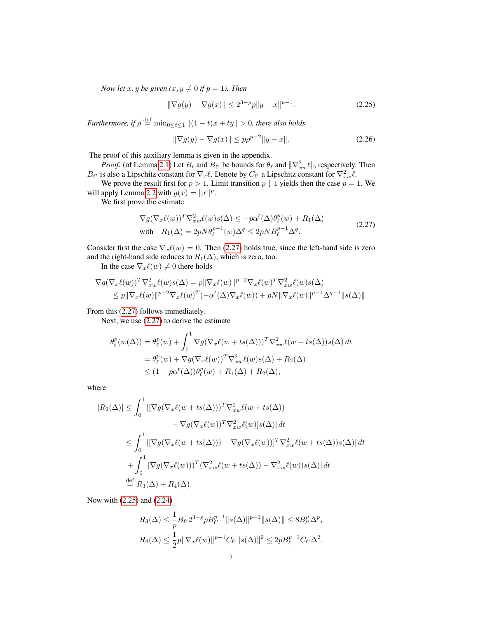*Now let*  $x, y$  *be given*  $(x, y \neq 0$  *if*  $p = 1$ *). Then* 

<span id="page-6-1"></span>
$$
\|\nabla g(y) - \nabla g(x)\| \le 2^{3-p} p \|y - x\|^{p-1}.
$$
\n(2.25)

*Furthermore, if*  $\rho \stackrel{\text{def}}{=} \min_{0 \leq t \leq 1} ||(1-t)x + ty|| > 0$ *, there also holds* 

<span id="page-6-2"></span>
$$
\|\nabla g(y) - \nabla g(x)\| \le p\rho^{p-2} \|y - x\|.
$$
 (2.26)

The proof of this auxiliary lemma is given in the appendix.

*Proof.* (of Lemma [2.1\)](#page-5-3) Let  $B_\ell$  and  $B_{\ell'}$  be bounds for  $\theta_\ell$  and  $\|\nabla_x^2 w\ell\|$ , respectively. Then  $B_{\ell'}$  is also a Lipschitz constant for  $\nabla_x \ell$ . Denote by  $C_{\ell'}$  a Lipschitz constant for  $\nabla_x^2 w \ell$ .

We prove the result first for  $p > 1$ . Limit transition  $p \downarrow 1$  yields then the case  $p = 1$ . We will apply Lemma [2.2](#page-5-4) with  $g(x) = ||x||^p$ .

We first prove the estimate

<span id="page-6-0"></span>
$$
\nabla g(\nabla_x \ell(w))^T \nabla_{xw}^2 \ell(w) s(\Delta) \le -p\alpha^t(\Delta) \theta_\ell^p(w) + R_1(\Delta)
$$
  
with 
$$
R_1(\Delta) = 2pN\theta_\ell^{p-1}(w)\Delta^q \le 2pNB_\ell^{p-1}\Delta^q.
$$
 (2.27)

Consider first the case  $\nabla_x \ell(w) = 0$ . Then [\(2.27\)](#page-6-0) holds true, since the left-hand side is zero and the right-hand side reduces to  $R_1(\Delta)$ , which is zero, too.

In the case  $\nabla_x \ell(w) \neq 0$  there holds

$$
\nabla g(\nabla_x \ell(w))^T \nabla_{xw}^2 \ell(w) s(\Delta) = p \|\nabla_x \ell(w)\|^{p-2} \nabla_x \ell(w)^T \nabla_{xw}^2 \ell(w) s(\Delta)
$$
  
\n
$$
\leq p \|\nabla_x \ell(w)\|^{p-2} \nabla_x \ell(w)^T (-\alpha^t(\Delta) \nabla_x \ell(w)) + pN \|\nabla_x \ell(w)\|^{p-1} \Delta^{q-1} \|s(\Delta)\|.
$$

From this [\(2.27\)](#page-6-0) follows immediately.

Next, we use [\(2.27\)](#page-6-0) to derive the estimate

$$
\theta_{\ell}^{p}(w(\Delta)) = \theta_{\ell}^{p}(w) + \int_{0}^{1} \nabla g(\nabla_{x}\ell(w + ts(\Delta)))^{T} \nabla_{xw}^{2}\ell(w + ts(\Delta))s(\Delta) dt
$$
  
\n
$$
= \theta_{\ell}^{p}(w) + \nabla g(\nabla_{x}\ell(w))^{T} \nabla_{xw}^{2}\ell(w)s(\Delta) + R_{2}(\Delta)
$$
  
\n
$$
\leq (1 - p\alpha^{t}(\Delta))\theta_{\ell}^{p}(w) + R_{1}(\Delta) + R_{2}(\Delta),
$$

where

$$
|R_2(\Delta)| \leq \int_0^1 |[\nabla g(\nabla_x \ell(w + ts(\Delta)))^T \nabla_{xw}^2 \ell(w + ts(\Delta))
$$
  

$$
- \nabla g(\nabla_x \ell(w))^T \nabla_{xw}^2 \ell(w)|s(\Delta)| dt
$$
  

$$
\leq \int_0^1 |[\nabla g(\nabla_x \ell(w + ts(\Delta))) - \nabla g(\nabla_x \ell(w))]^T \nabla_{xw}^2 \ell(w + ts(\Delta))s(\Delta)| dt
$$
  

$$
+ \int_0^1 |\nabla g(\nabla_x \ell(w)))^T (\nabla_{xw}^2 \ell(w + ts(\Delta)) - \nabla_{xw}^2 \ell(w))s(\Delta)| dt
$$
  

$$
\stackrel{\text{def}}{=} R_3(\Delta) + R_4(\Delta).
$$

Now with [\(2.25\)](#page-6-1) and [\(2.24\)](#page-5-5)

$$
R_3(\Delta) \le \frac{1}{p} B_{\ell'} 2^{3-p} p B_{\ell'}^{p-1} \|s(\Delta)\|^{p-1} \|s(\Delta)\| \le 8 B_{\ell'}^p \Delta^p,
$$
  

$$
R_4(\Delta) \le \frac{1}{2} p \|\nabla_x \ell(w)\|^{p-1} C_{\ell'} \|s(\Delta)\|^2 \le 2p B_{\ell}^{p-1} C_{\ell'} \Delta^2.
$$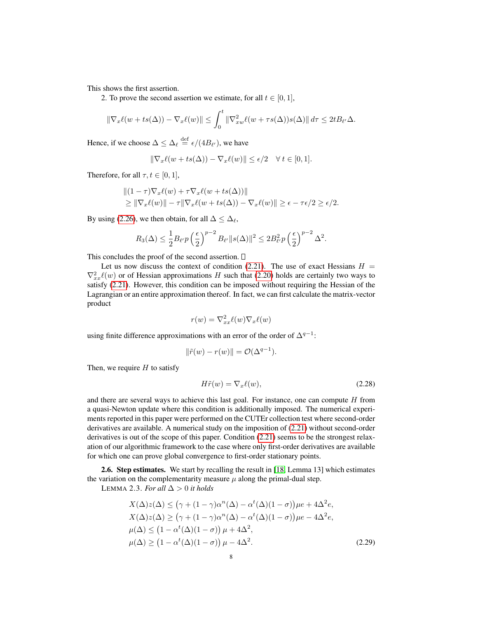This shows the first assertion.

2. To prove the second assertion we estimate, for all  $t \in [0, 1]$ ,

$$
\|\nabla_x \ell(w + ts(\Delta)) - \nabla_x \ell(w)\| \le \int_0^t \|\nabla_{xw}^2 \ell(w + \tau s(\Delta))s(\Delta)\| d\tau \le 2t B_{\ell'}\Delta.
$$

Hence, if we choose  $\Delta \leq \Delta_{\ell} \stackrel{\text{def}}{=} \epsilon/(4B_{\ell'})$ , we have

$$
\|\nabla_x \ell(w + ts(\Delta)) - \nabla_x \ell(w)\| \le \epsilon/2 \quad \forall \ t \in [0, 1].
$$

Therefore, for all  $\tau, t \in [0, 1]$ ,

$$
||(1-\tau)\nabla_x \ell(w) + \tau \nabla_x \ell(w + ts(\Delta))||
$$
  
\n
$$
\geq ||\nabla_x \ell(w)|| - \tau ||\nabla_x \ell(w + ts(\Delta)) - \nabla_x \ell(w)|| \geq \epsilon - \tau \epsilon/2 \geq \epsilon/2.
$$

By using [\(2.26\)](#page-6-2), we then obtain, for all  $\Delta \leq \Delta_{\ell}$ ,

$$
R_3(\Delta) \le \frac{1}{2} B_{\ell'} p\left(\frac{\epsilon}{2}\right)^{p-2} B_{\ell'} \|s(\Delta)\|^2 \le 2B_{\ell'}^2 p\left(\frac{\epsilon}{2}\right)^{p-2} \Delta^2.
$$

This concludes the proof of the second assertion.  $\square$ 

Let us now discuss the context of condition [\(2.21\)](#page-5-2). The use of exact Hessians  $H =$  $\nabla_{xx}^2 \ell(w)$  or of Hessian approximations H such that [\(2.20\)](#page-5-6) holds are certainly two ways to satisfy [\(2.21\)](#page-5-2). However, this condition can be imposed without requiring the Hessian of the Lagrangian or an entire approximation thereof. In fact, we can first calculate the matrix-vector product

$$
r(w) = \nabla_{xx}^2 \ell(w) \nabla_x \ell(w)
$$

using finite difference approximations with an error of the order of  $\Delta^{q-1}$ :

$$
\|\tilde{r}(w) - r(w)\| = \mathcal{O}(\Delta^{q-1}).
$$

Then, we require  $H$  to satisfy

<span id="page-7-0"></span>
$$
H\tilde{r}(w) = \nabla_x \ell(w),\tag{2.28}
$$

and there are several ways to achieve this last goal. For instance, one can compute  $H$  from a quasi-Newton update where this condition is additionally imposed. The numerical experiments reported in this paper were performed on the CUTEr collection test where second-order derivatives are available. A numerical study on the imposition of [\(2.21\)](#page-5-2) without second-order derivatives is out of the scope of this paper. Condition [\(2.21\)](#page-5-2) seems to be the strongest relaxation of our algorithmic framework to the case where only first-order derivatives are available for which one can prove global convergence to first-order stationary points.

2.6. Step estimates. We start by recalling the result in [\[18,](#page-31-0) Lemma 13] which estimates the variation on the complementarity measure  $\mu$  along the primal-dual step.

LEMMA 2.3. *For all*  $\Delta > 0$  *it holds* 

$$
X(\Delta)z(\Delta) \le (\gamma + (1 - \gamma)\alpha^n(\Delta) - \alpha^t(\Delta)(1 - \sigma))\mu e + 4\Delta^2 e,
$$
  
\n
$$
X(\Delta)z(\Delta) \ge (\gamma + (1 - \gamma)\alpha^n(\Delta) - \alpha^t(\Delta)(1 - \sigma))\mu e - 4\Delta^2 e,
$$
  
\n
$$
\mu(\Delta) \le (1 - \alpha^t(\Delta)(1 - \sigma)) \mu + 4\Delta^2,
$$
  
\n
$$
\mu(\Delta) \ge (1 - \alpha^t(\Delta)(1 - \sigma)) \mu - 4\Delta^2.
$$
\n(2.29)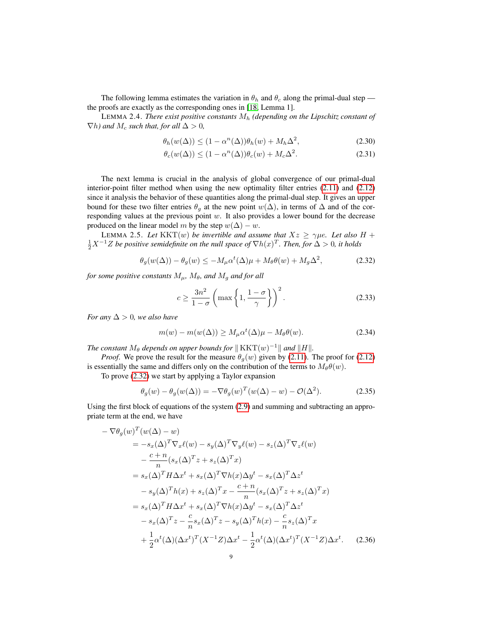The following lemma estimates the variation in  $\theta_h$  and  $\theta_c$  along the primal-dual step the proofs are exactly as the corresponding ones in [\[18,](#page-31-0) Lemma 1].

<span id="page-8-6"></span>LEMMA 2.4. *There exist positive constants* M<sup>h</sup> *(depending on the Lipschitz constant of*  $\nabla h$ *)* and  $M_c$  *such that, for all*  $\Delta > 0$ *,* 

$$
\theta_h(w(\Delta)) \le (1 - \alpha^n(\Delta))\theta_h(w) + M_h\Delta^2,
$$
\n(2.30)

<span id="page-8-5"></span>
$$
\theta_c(w(\Delta)) \le (1 - \alpha^n(\Delta))\theta_c(w) + M_c \Delta^2.
$$
\n(2.31)

The next lemma is crucial in the analysis of global convergence of our primal-dual interior-point filter method when using the new optimality filter entries [\(2.11\)](#page-3-3) and [\(2.12\)](#page-3-2) since it analysis the behavior of these quantities along the primal-dual step. It gives an upper bound for these two filter entries  $\theta_q$  at the new point  $w(\Delta)$ , in terms of  $\Delta$  and of the corresponding values at the previous point w. It also provides a lower bound for the decrease produced on the linear model m by the step  $w(\Delta) - w$ .

<span id="page-8-7"></span>LEMMA 2.5. Let  $KKT(w)$  *be invertible and assume that*  $Xz \geq \gamma \mu e$ *. Let also*  $H +$  $\frac{1}{2}X^{-1}Z$  *be positive semidefinite on the null space of*  $\nabla h(x)^T$ *. Then, for*  $\Delta > 0$ *, it holds* 

$$
\theta_g(w(\Delta)) - \theta_g(w) \le -M_\mu \alpha^t(\Delta)\mu + M_\theta \theta(w) + M_g \Delta^2,
$$
\n(2.32)

*for some positive constants*  $M_{\mu}$ ,  $M_{\theta}$ , and  $M_{g}$  and for all

<span id="page-8-4"></span><span id="page-8-2"></span><span id="page-8-0"></span>
$$
c \ge \frac{3n^2}{1-\sigma} \left( \max\left\{ 1, \frac{1-\sigma}{\gamma} \right\} \right)^2.
$$
 (2.33)

*For any*  $\Delta > 0$ *, we also have* 

<span id="page-8-3"></span>
$$
m(w) - m(w(\Delta)) \ge M_{\mu}\alpha^{t}(\Delta)\mu - M_{\theta}\theta(w). \tag{2.34}
$$

*The constant*  $M_\theta$  *depends on upper bounds for*  $\Vert$  KKT $(w)^{-1} \Vert$  *and*  $\Vert$ *H* $\Vert$ *.* 

*Proof.* We prove the result for the measure  $\theta_a(w)$  given by [\(2.11\)](#page-3-3). The proof for [\(2.12\)](#page-3-2) is essentially the same and differs only on the contribution of the terms to  $M_{\theta}\theta(w)$ .

To prove [\(2.32\)](#page-8-0) we start by applying a Taylor expansion

<span id="page-8-1"></span>
$$
\theta_g(w) - \theta_g(w(\Delta)) = -\nabla \theta_g(w)^T (w(\Delta) - w) - \mathcal{O}(\Delta^2). \tag{2.35}
$$

Using the first block of equations of the system [\(2.9\)](#page-3-4) and summing and subtracting an appropriate term at the end, we have

$$
-\nabla \theta_g(w)^T (w(\Delta) - w)
$$
  
\n
$$
= -s_x(\Delta)^T \nabla_x \ell(w) - s_y(\Delta)^T \nabla_y \ell(w) - s_z(\Delta)^T \nabla_z \ell(w)
$$
  
\n
$$
- \frac{c + n}{n} (s_x(\Delta)^T z + s_z(\Delta)^T x)
$$
  
\n
$$
= s_x(\Delta)^T H \Delta x^t + s_x(\Delta)^T \nabla h(x) \Delta y^t - s_x(\Delta)^T \Delta z^t
$$
  
\n
$$
- s_y(\Delta)^T h(x) + s_z(\Delta)^T x - \frac{c + n}{n} (s_x(\Delta)^T z + s_z(\Delta)^T x)
$$
  
\n
$$
= s_x(\Delta)^T H \Delta x^t + s_x(\Delta)^T \nabla h(x) \Delta y^t - s_x(\Delta)^T \Delta z^t
$$
  
\n
$$
- s_x(\Delta)^T z - \frac{c}{n} s_x(\Delta)^T z - s_y(\Delta)^T h(x) - \frac{c}{n} s_z(\Delta)^T x
$$
  
\n
$$
+ \frac{1}{2} \alpha^t(\Delta) (\Delta x^t)^T (X^{-1} Z) \Delta x^t - \frac{1}{2} \alpha^t(\Delta) (\Delta x^t)^T (X^{-1} Z) \Delta x^t.
$$
 (2.36)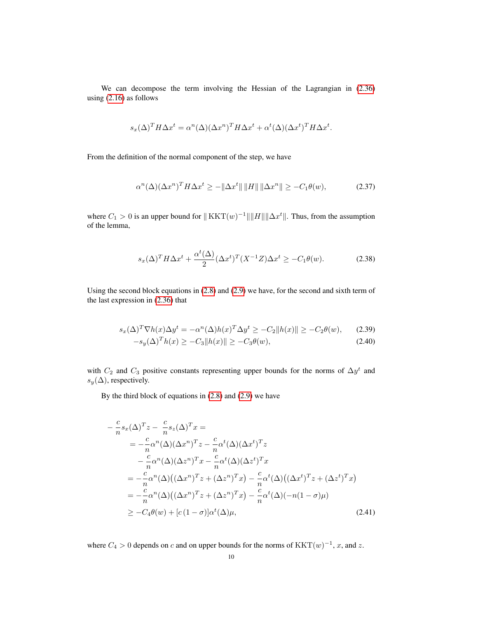We can decompose the term involving the Hessian of the Lagrangian in [\(2.36\)](#page-8-1) using [\(2.16\)](#page-4-1) as follows

$$
s_x(\Delta)^T H \Delta x^t = \alpha^n(\Delta) (\Delta x^n)^T H \Delta x^t + \alpha^t(\Delta) (\Delta x^t)^T H \Delta x^t.
$$

From the definition of the normal component of the step, we have

<span id="page-9-0"></span>
$$
\alpha^{n}(\Delta)(\Delta x^{n})^{T} H \Delta x^{t} \ge -\|\Delta x^{t}\| \left\|H\right\| \|\Delta x^{n}\| \ge -C_{1}\theta(w),\tag{2.37}
$$

where  $C_1 > 0$  is an upper bound for  $|| KKT(w)^{-1} || ||H|| || \Delta x^t ||$ . Thus, from the assumption of the lemma,

<span id="page-9-1"></span>
$$
s_x(\Delta)^T H \Delta x^t + \frac{\alpha^t(\Delta)}{2} (\Delta x^t)^T (X^{-1}Z) \Delta x^t \ge -C_1 \theta(w). \tag{2.38}
$$

Using the second block equations in [\(2.8\)](#page-3-5) and [\(2.9\)](#page-3-4) we have, for the second and sixth term of the last expression in [\(2.36\)](#page-8-1) that

<span id="page-9-2"></span>
$$
s_x(\Delta)^T \nabla h(x) \Delta y^t = -\alpha^n(\Delta)h(x)^T \Delta y^t \ge -C_2 \|h(x)\| \ge -C_2 \theta(w),\tag{2.39}
$$

$$
-s_y(\Delta)^T h(x) \ge -C_3 \|h(x)\| \ge -C_3 \theta(w),\tag{2.40}
$$

with  $C_2$  and  $C_3$  positive constants representing upper bounds for the norms of  $\Delta y^t$  and  $s_y(\Delta)$ , respectively.

By the third block of equations in [\(2.8\)](#page-3-5) and [\(2.9\)](#page-3-4) we have

<span id="page-9-3"></span>
$$
-\frac{c}{n}s_x(\Delta)^T z - \frac{c}{n}s_z(\Delta)^T x =
$$
  
\n
$$
= -\frac{c}{n}\alpha^n(\Delta)(\Delta x^n)^T z - \frac{c}{n}\alpha^t(\Delta)(\Delta x^t)^T z
$$
  
\n
$$
- \frac{c}{n}\alpha^n(\Delta)(\Delta z^n)^T x - \frac{c}{n}\alpha^t(\Delta)(\Delta z^t)^T x
$$
  
\n
$$
= -\frac{c}{n}\alpha^n(\Delta)((\Delta x^n)^T z + (\Delta z^n)^T x) - \frac{c}{n}\alpha^t(\Delta)((\Delta x^t)^T z + (\Delta z^t)^T x)
$$
  
\n
$$
= -\frac{c}{n}\alpha^n(\Delta)((\Delta x^n)^T z + (\Delta z^n)^T x) - \frac{c}{n}\alpha^t(\Delta)(-n(1-\sigma)\mu)
$$
  
\n
$$
\geq -C_4\theta(w) + [c(1-\sigma)]\alpha^t(\Delta)\mu,
$$
\n(2.41)

where  $C_4 > 0$  depends on c and on upper bounds for the norms of  $KKT(w)^{-1}$ , x, and z.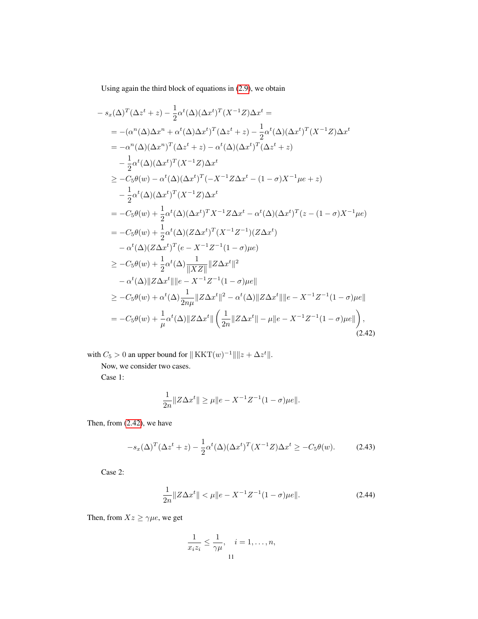Using again the third block of equations in [\(2.9\)](#page-3-4), we obtain

$$
-s_x(\Delta)^T(\Delta z^t + z) - \frac{1}{2}\alpha^t(\Delta)(\Delta x^t)^T(X^{-1}Z)\Delta x^t =
$$
  
\n
$$
= -(\alpha^n(\Delta)\Delta x^n + \alpha^t(\Delta)\Delta x^t)^T(\Delta z^t + z) - \frac{1}{2}\alpha^t(\Delta)(\Delta x^t)^T(X^{-1}Z)\Delta x^t
$$
  
\n
$$
= -\alpha^n(\Delta)(\Delta x^n)^T(\Delta z^t + z) - \alpha^t(\Delta)(\Delta x^t)^T(\Delta z^t + z)
$$
  
\n
$$
- \frac{1}{2}\alpha^t(\Delta)(\Delta x^t)^T(X^{-1}Z)\Delta x^t
$$
  
\n
$$
\geq -C_5\theta(w) - \alpha^t(\Delta)(\Delta x^t)^T(-X^{-1}Z\Delta x^t - (1 - \sigma)X^{-1}\mu e + z)
$$
  
\n
$$
- \frac{1}{2}\alpha^t(\Delta)(\Delta x^t)^T(X^{-1}Z)\Delta x^t
$$
  
\n
$$
= -C_5\theta(w) + \frac{1}{2}\alpha^t(\Delta)(\Delta x^t)^T X^{-1}Z\Delta x^t - \alpha^t(\Delta)(\Delta x^t)^T(z - (1 - \sigma)X^{-1}\mu e)
$$
  
\n
$$
= -C_5\theta(w) + \frac{1}{2}\alpha^t(\Delta)(Z\Delta x^t)^T(X^{-1}Z^{-1})(Z\Delta x^t)
$$
  
\n
$$
- \alpha^t(\Delta)(Z\Delta x^t)^T(e - X^{-1}Z^{-1}(1 - \sigma)\mu e)
$$
  
\n
$$
\geq -C_5\theta(w) + \frac{1}{2}\alpha^t(\Delta)\frac{1}{\|XZ\|}\|Z\Delta x^t\|^2
$$
  
\n
$$
- \alpha^t(\Delta)\|Z\Delta x^t\|\|e - X^{-1}Z^{-1}(1 - \sigma)\mu e\|
$$
  
\n
$$
\geq -C_5\theta(w) + \alpha^t(\Delta)\frac{1}{2n\mu}\|Z\Delta x^t\|^2 - \alpha^t(\Delta)\|Z\Delta x^t\|\|e - X^{-1}Z^{-1}(1 - \sigma)\mu e\|
$$
  
\n
$$
= -C_5\theta(w) + \frac{1}{\mu}\alpha^t(\Delta)\|Z\Delta x^t\| \left(\frac{1}{2n}\|
$$

with  $C_5 > 0$  an upper bound for  $|| KKT(w)^{-1} || ||z + \Delta z^t ||$ .

Now, we consider two cases.

Case 1:

<span id="page-10-2"></span><span id="page-10-0"></span>
$$
\frac{1}{2n}||Z\Delta x^t|| \ge \mu ||e - X^{-1}Z^{-1}(1-\sigma)\mu e||.
$$

Then, from [\(2.42\)](#page-10-0), we have

$$
-s_x(\Delta)^T(\Delta z^t + z) - \frac{1}{2}\alpha^t(\Delta)(\Delta x^t)^T(X^{-1}Z)\Delta x^t \ge -C_5\theta(w). \tag{2.43}
$$

<span id="page-10-1"></span>Case 2:

$$
\frac{1}{2n} \|Z\Delta x^t\| < \mu \|e - X^{-1}Z^{-1}(1-\sigma)\mu e\|. \tag{2.44}
$$

Then, from  $Xz \geq \gamma \mu e$ , we get

$$
\frac{1}{x_i z_i} \le \frac{1}{\gamma \mu}, \quad i = 1, \dots, n,
$$
11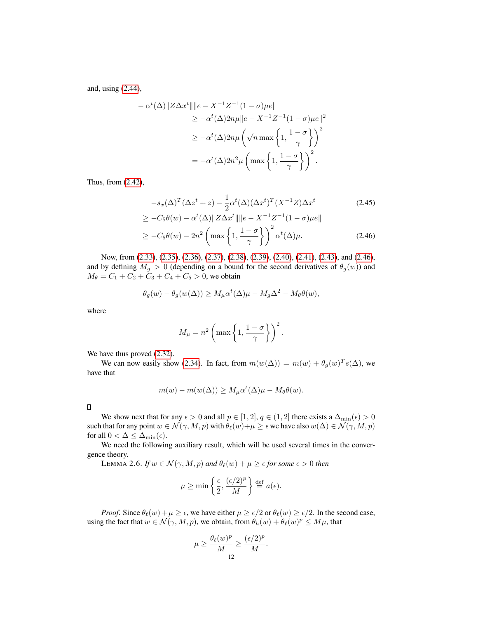and, using [\(2.44\)](#page-10-1),

$$
- \alpha^{t}(\Delta) \|Z\Delta x^{t}\| \|e - X^{-1}Z^{-1}(1-\sigma)\mu e\|
$$
  
\n
$$
\geq -\alpha^{t}(\Delta)2n\mu \|e - X^{-1}Z^{-1}(1-\sigma)\mu e\|^{2}
$$
  
\n
$$
\geq -\alpha^{t}(\Delta)2n\mu \left(\sqrt{n}\max\left\{1,\frac{1-\sigma}{\gamma}\right\}\right)^{2}
$$
  
\n
$$
= -\alpha^{t}(\Delta)2n^{2}\mu \left(\max\left\{1,\frac{1-\sigma}{\gamma}\right\}\right)^{2}.
$$

Thus, from [\(2.42\)](#page-10-0),

<span id="page-11-0"></span>
$$
-s_x(\Delta)^T(\Delta z^t + z) - \frac{1}{2}\alpha^t(\Delta)(\Delta x^t)^T(X^{-1}Z)\Delta x^t
$$
\n
$$
\geq -C_5\theta(w) - \alpha^t(\Delta)\|Z\Delta x^t\|\|e - X^{-1}Z^{-1}(1-\sigma)\mu e\|
$$
\n
$$
\geq -C_5\theta(w) - 2n^2\left(\max\left\{1, \frac{1-\sigma}{\gamma}\right\}\right)^2\alpha^t(\Delta)\mu.
$$
\n(2.46)

Now, from [\(2.33\)](#page-8-2), [\(2.35\)](#page-8-3), [\(2.36\)](#page-8-1), [\(2.37\)](#page-9-0), [\(2.38\)](#page-9-1), [\(2.39\)](#page-9-2), [\(2.40\)](#page-9-2), [\(2.41\)](#page-9-3), [\(2.43\)](#page-10-2), and [\(2.46\)](#page-11-0), and by defining  $M_g > 0$  (depending on a bound for the second derivatives of  $\theta_g(w)$ ) and  $M_{\theta} = C_1 + C_2 + C_3 + C_4 + C_5 > 0$ , we obtain

$$
\theta_g(w) - \theta_g(w(\Delta)) \ge M_\mu \alpha^t(\Delta) \mu - M_g \Delta^2 - M_\theta \theta(w),
$$

where

$$
M_{\mu} = n^2 \left( \max \left\{ 1, \frac{1-\sigma}{\gamma} \right\} \right)^2.
$$

We have thus proved  $(2.32)$ .

We can now easily show [\(2.34\)](#page-8-4). In fact, from  $m(w(\Delta)) = m(w) + \theta_g(w)^T s(\Delta)$ , we have that

$$
m(w) - m(w(\Delta)) \ge M_{\mu} \alpha^{t}(\Delta) \mu - M_{\theta} \theta(w).
$$

 $\Box$ 

We show next that for any  $\epsilon > 0$  and all  $p \in [1, 2]$ ,  $q \in (1, 2]$  there exists a  $\Delta_{\min}(\epsilon) > 0$ such that for any point  $w \in \mathcal{N}(\gamma, M, p)$  with  $\theta_\ell(w)+\mu \geq \epsilon$  we have also  $w(\Delta) \in \mathcal{N}(\gamma, M, p)$ for all  $0 < \Delta \leq \Delta_{\min}(\epsilon)$ .

We need the following auxiliary result, which will be used several times in the convergence theory.

<span id="page-11-1"></span>LEMMA 2.6. *If*  $w \in \mathcal{N}(\gamma, M, p)$  *and*  $\theta_{\ell}(w) + \mu \geq \epsilon$  *for some*  $\epsilon > 0$  *then* 

$$
\mu \ge \min\left\{\frac{\epsilon}{2}, \frac{(\epsilon/2)^p}{M}\right\} \stackrel{\text{def}}{=} a(\epsilon).
$$

*Proof.* Since  $\theta_{\ell}(w) + \mu \ge \epsilon$ , we have either  $\mu \ge \epsilon/2$  or  $\theta_{\ell}(w) \ge \epsilon/2$ . In the second case, using the fact that  $w \in \mathcal{N}(\gamma, M, p)$ , we obtain, from  $\theta_h(w) + \theta_{\ell}(w)^p \le M\mu$ , that

$$
\mu \ge \frac{\theta_\ell(w)^p}{M} \ge \frac{(\epsilon/2)^p}{M}.
$$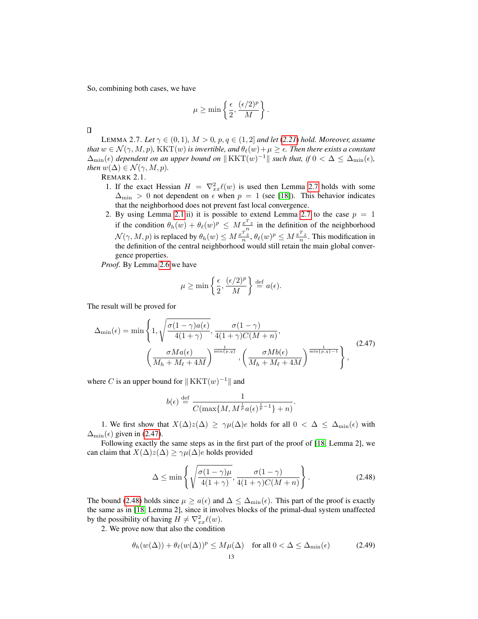So, combining both cases, we have

$$
\mu \ge \min \left\{ \frac{\epsilon}{2}, \frac{(\epsilon/2)^p}{M} \right\}.
$$

 $\Box$ 

<span id="page-12-0"></span>LEMMA 2.7. Let  $\gamma \in (0,1)$ ,  $M > 0$ ,  $p, q \in (1,2]$  *and let* ([2.21](#page-5-2)) *hold. Moreover, assume that*  $w \in \mathcal{N}(\gamma, M, p)$ , KKT $(w)$  *is invertible, and*  $\theta_{\ell}(w)+\mu \geq \epsilon$ . Then there exists a constant  $\Delta_{\min}(\epsilon)$  dependent on an upper bound on  $\|\text{KKT}(w)^{-1}\|$  such that, if  $0 < \Delta \leq \Delta_{\min}(\epsilon)$ , *then*  $w(\Delta) \in \mathcal{N}(\gamma, M, p)$ *.* 

REMARK 2.1.

- 1. If the exact Hessian  $H = \nabla_{xx}^2 \ell(w)$  is used then Lemma [2.7](#page-12-0) holds with some  $\Delta_{\text{min}} > 0$  not dependent on  $\epsilon$  when  $p = 1$  (see [\[18\]](#page-31-0)). This behavior indicates that the neighborhood does not prevent fast local convergence.
- 2. By using Lemma [2.1.](#page-5-3)ii) it is possible to extend Lemma [2.7](#page-12-0) to the case  $p = 1$ if the condition  $\theta_h(w) + \theta_\ell(w)^p \leq M \frac{x^T z}{n}$  in the definition of the neighborhood  $\mathcal{N}(\gamma,M,p)$  is replaced by  $\theta_h(w) \leq M \frac{x^Tz}{n}, \theta_\ell(w)^p \leq M \frac{x^Tz}{n}.$  This modification in the definition of the central neighborhood would still retain the main global convergence properties.

*Proof*. By Lemma [2.6](#page-11-1) we have

<span id="page-12-1"></span>
$$
\mu \ge \min \left\{ \frac{\epsilon}{2}, \frac{(\epsilon/2)^p}{M} \right\} \stackrel{\text{def}}{=} a(\epsilon).
$$

The result will be proved for

$$
\Delta_{\min}(\epsilon) = \min\left\{1, \sqrt{\frac{\sigma(1-\gamma)a(\epsilon)}{4(1+\gamma)}}, \frac{\sigma(1-\gamma)}{4(1+\gamma)C(M+n)}, \left(\frac{\sigma M a(\epsilon)}{M_h + M_\ell + 4M}\right)^{\frac{1}{\min\{p,q\}}}, \left(\frac{\sigma M b(\epsilon)}{M_h + M_\ell + 4M}\right)^{\frac{1}{\min\{p,q\}-1}}\right\},
$$
\n(2.47)

where C is an upper bound for  $|| KKT(w)^{-1}||$  and

<span id="page-12-2"></span>
$$
b(\epsilon) \stackrel{\text{def}}{=} \frac{1}{C(\max\{M, M^{\frac{1}{p}}a(\epsilon)^{\frac{1}{p}-1}\}+n)}.
$$

1. We first show that  $X(\Delta)z(\Delta) \geq \gamma \mu(\Delta)e$  holds for all  $0 < \Delta \leq \Delta_{\min}(\epsilon)$  with  $\Delta_{\min}(\epsilon)$  given in [\(2.47\)](#page-12-1).

Following exactly the same steps as in the first part of the proof of [\[18,](#page-31-0) Lemma 2], we can claim that  $X(\Delta)z(\Delta) \geq \gamma \mu(\Delta)e$  holds provided

<span id="page-12-3"></span>
$$
\Delta \le \min\left\{ \sqrt{\frac{\sigma(1-\gamma)\mu}{4(1+\gamma)}}, \frac{\sigma(1-\gamma)}{4(1+\gamma)C(M+n)} \right\}.
$$
\n(2.48)

The bound [\(2.48\)](#page-12-2) holds since  $\mu \ge a(\epsilon)$  and  $\Delta \le \Delta_{\min}(\epsilon)$ . This part of the proof is exactly the same as in [\[18,](#page-31-0) Lemma 2], since it involves blocks of the primal-dual system unaffected by the possibility of having  $H \neq \nabla_{xx}^2 \ell(w)$ .

2. We prove now that also the condition

$$
\theta_h(w(\Delta)) + \theta_\ell(w(\Delta))^p \le M\mu(\Delta) \quad \text{for all } 0 < \Delta \le \Delta_{\min}(\epsilon) \tag{2.49}
$$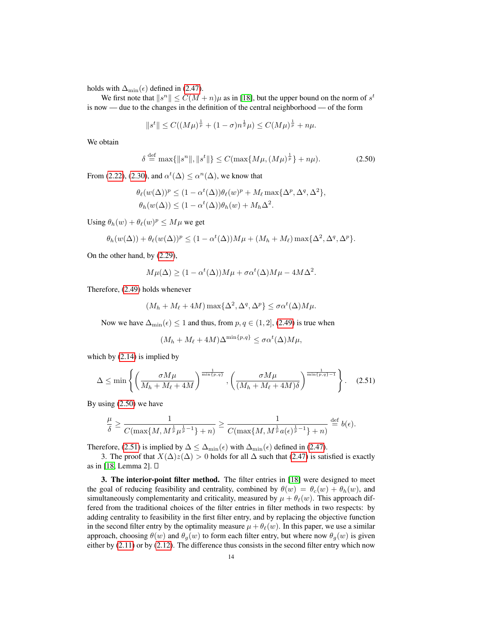holds with  $\Delta_{\min}(\epsilon)$  defined in [\(2.47\)](#page-12-1).

We first note that  $||s^n|| \leq C(M+n)\mu$  as in [\[18\]](#page-31-0), but the upper bound on the norm of  $s^t$ is now — due to the changes in the definition of the central neighborhood — of the form

$$
||s^t|| \leq C((M\mu)^{\frac{1}{p}} + (1 - \sigma)n^{\frac{1}{2}}\mu) \leq C(M\mu)^{\frac{1}{p}} + n\mu.
$$

We obtain

<span id="page-13-1"></span>
$$
\delta \stackrel{\text{def}}{=} \max\{\|s^n\|, \|s^t\|\} \le C(\max\{M\mu, (M\mu)^{\frac{1}{p}}\} + n\mu). \tag{2.50}
$$

From [\(2.22\)](#page-5-7), [\(2.30\)](#page-8-5), and  $\alpha^t(\Delta) \leq \alpha^n(\Delta)$ , we know that

$$
\theta_{\ell}(w(\Delta))^p \le (1 - \alpha^t(\Delta))\theta_{\ell}(w)^p + M_{\ell} \max{\{\Delta^p, \Delta^q, \Delta^2\}},
$$
  

$$
\theta_h(w(\Delta)) \le (1 - \alpha^t(\Delta))\theta_h(w) + M_h \Delta^2.
$$

Using  $\theta_h(w) + \theta_\ell(w)^p \le M\mu$  we get

$$
\theta_h(w(\Delta)) + \theta_\ell(w(\Delta))^p \le (1 - \alpha^t(\Delta))M\mu + (M_h + M_\ell) \max\{\Delta^2, \Delta^q, \Delta^p\}.
$$

On the other hand, by [\(2.29\)](#page-7-0),

$$
M\mu(\Delta) \ge (1 - \alpha^t(\Delta))M\mu + \sigma \alpha^t(\Delta)M\mu - 4M\Delta^2.
$$

Therefore, [\(2.49\)](#page-12-3) holds whenever

$$
(M_h + M_\ell + 4M) \max\{\Delta^2, \Delta^q, \Delta^p\} \le \sigma \alpha^t(\Delta) M \mu.
$$

Now we have  $\Delta_{\min}(\epsilon) \leq 1$  and thus, from  $p, q \in (1, 2]$ , [\(2.49\)](#page-12-3) is true when

<span id="page-13-2"></span>
$$
(M_h + M_\ell + 4M)\Delta^{\min\{p,q\}} \le \sigma \alpha^t(\Delta) M \mu,
$$

which by [\(2.14\)](#page-4-2) is implied by

$$
\Delta \le \min\left\{ \left( \frac{\sigma M \mu}{M_h + M_\ell + 4M} \right)^{\frac{1}{\min\{p,q\}}}, \left( \frac{\sigma M \mu}{(M_h + M_\ell + 4M)\delta} \right)^{\frac{1}{\min\{p,q\}-1}} \right\}.
$$
 (2.51)

By using [\(2.50\)](#page-13-1) we have

$$
\frac{\mu}{\delta} \ge \frac{1}{C(\max\{M, M^{\frac{1}{p}}\mu^{\frac{1}{p}-1}\}+n)} \ge \frac{1}{C(\max\{M, M^{\frac{1}{p}}a(\epsilon)^{\frac{1}{p}-1}\}+n)} \stackrel{\text{def}}{=} b(\epsilon).
$$

Therefore, [\(2.51\)](#page-13-2) is implied by  $\Delta \leq \Delta_{\min}(\epsilon)$  with  $\Delta_{\min}(\epsilon)$  defined in [\(2.47\)](#page-12-1).

3. The proof that  $X(\Delta)z(\Delta) > 0$  holds for all  $\Delta$  such that [\(2.47\)](#page-12-1) is satisfied is exactly as in [\[18,](#page-31-0) Lemma 2].

<span id="page-13-0"></span>3. The interior-point filter method. The filter entries in [\[18\]](#page-31-0) were designed to meet the goal of reducing feasibility and centrality, combined by  $\theta(w) = \theta_c(w) + \theta_h(w)$ , and simultaneously complementarity and criticality, measured by  $\mu + \theta_{\ell}(w)$ . This approach differed from the traditional choices of the filter entries in filter methods in two respects: by adding centrality to feasibility in the first filter entry, and by replacing the objective function in the second filter entry by the optimality measure  $\mu + \theta_{\ell}(w)$ . In this paper, we use a similar approach, choosing  $\theta(w)$  and  $\theta_q(w)$  to form each filter entry, but where now  $\theta_q(w)$  is given either by [\(2.11\)](#page-3-3) or by [\(2.12\)](#page-3-2). The difference thus consists in the second filter entry which now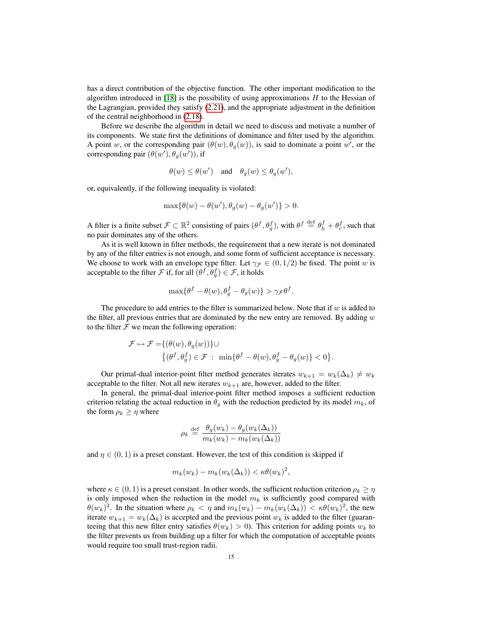has a direct contribution of the objective function. The other important modification to the algorithm introduced in  $[18]$  is the possibility of using approximations  $H$  to the Hessian of the Lagrangian, provided they satisfy [\(2.21\)](#page-5-2), and the appropriate adjustment in the definition of the central neighborhood in [\(2.18\)](#page-5-0).

Before we describe the algorithm in detail we need to discuss and motivate a number of its components. We state first the definitions of dominance and filter used by the algorithm. A point w, or the corresponding pair  $(\theta(w), \theta_{g}(w))$ , is said to dominate a point w', or the corresponding pair  $(\theta(w'), \theta_g(w'))$ , if

$$
\theta(w) \le \theta(w') \quad \text{and} \quad \theta_g(w) \le \theta_g(w'),
$$

or, equivalently, if the following inequality is violated:

$$
\max{\{\theta(w) - \theta(w'), \theta_g(w) - \theta_g(w')\}} > 0.
$$

A filter is a finite subset  $\mathcal{F} \subset \mathbb{R}^2$  consisting of pairs  $(\theta^f, \theta_g^f)$ , with  $\theta^f \stackrel{\text{def}}{=} \theta_h^f + \theta_c^f$ , such that no pair dominates any of the others.

As it is well known in filter methods, the requirement that a new iterate is not dominated by any of the filter entries is not enough, and some form of sufficient acceptance is necessary. We choose to work with an envelope type filter. Let  $\gamma_{\mathcal{F}} \in (0, 1/2)$  be fixed. The point w is acceptable to the filter  $\mathcal F$  if, for all  $(\theta^f, \theta^f_g) \in \mathcal F$ , it holds

$$
\max\{\theta^f - \theta(w), \theta_g^f - \theta_g(w)\} > \gamma_{\mathcal{F}}\theta^f.
$$

The procedure to add entries to the filter is summarized below. Note that if  $w$  is added to the filter, all previous entries that are dominated by the new entry are removed. By adding  $w$ to the filter  $F$  we mean the following operation:

$$
\mathcal{F} \mapsto \mathcal{F} = \{(\theta(w), \theta_g(w))\} \cup
$$
  

$$
\{(\theta^f, \theta_g^f) \in \mathcal{F} : \min\{\theta^f - \theta(w), \theta_g^f - \theta_g(w)\} < 0\}.
$$

Our primal-dual interior-point filter method generates iterates  $w_{k+1} = w_k(\Delta_k) \neq w_k$ acceptable to the filter. Not all new iterates  $w_{k+1}$  are, however, added to the filter.

In general, the primal-dual interior-point filter method imposes a sufficient reduction criterion relating the actual reduction in  $\theta_g$  with the reduction predicted by its model  $m_k$ , of the form  $\rho_k \geq \eta$  where

$$
\rho_k \stackrel{\text{def}}{=} \frac{\theta_g(w_k) - \theta_g(w_k(\Delta_k))}{m_k(w_k) - m_k(w_k(\Delta_k))}
$$

and  $\eta \in (0, 1)$  is a preset constant. However, the test of this condition is skipped if

$$
m_k(w_k) - m_k(w_k(\Delta_k)) < \kappa \theta(w_k)^2,
$$

where  $\kappa \in (0, 1)$  is a preset constant. In other words, the sufficient reduction criterion  $\rho_k \geq \eta$ is only imposed when the reduction in the model  $m_k$  is sufficiently good compared with  $\theta(w_k)^2$ . In the situation where  $\rho_k < \eta$  and  $m_k(w_k) - m_k(w_k(\Delta_k)) < \kappa \theta(w_k)^2$ , the new iterate  $w_{k+1} = w_k(\Delta_k)$  is accepted and the previous point  $w_k$  is added to the filter (guaranteeing that this new filter entry satisfies  $\theta(w_k) > 0$ ). This criterion for adding points  $w_k$  to the filter prevents us from building up a filter for which the computation of acceptable points would require too small trust-region radii.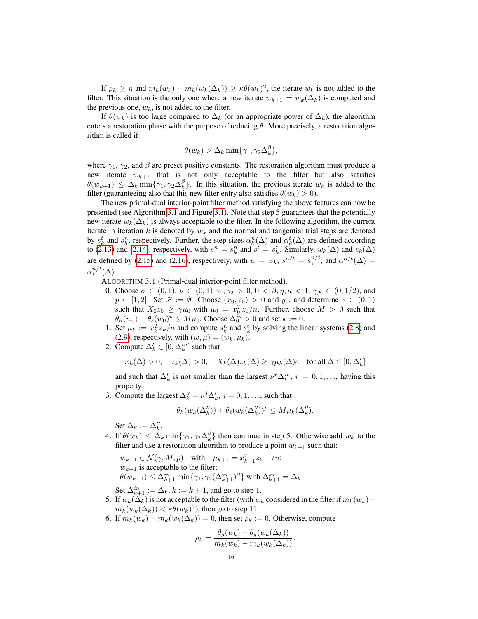If  $\rho_k \geq \eta$  and  $m_k(w_k) - m_k(w_k(\Delta_k)) \geq \kappa \theta(w_k)^2$ , the iterate  $w_k$  is not added to the filter. This situation is the only one where a new iterate  $w_{k+1} = w_k(\Delta_k)$  is computed and the previous one,  $w_k$ , is not added to the filter.

If  $\theta(w_k)$  is too large compared to  $\Delta_k$  (or an appropriate power of  $\Delta_k$ ), the algorithm enters a restoration phase with the purpose of reducing  $\theta$ . More precisely, a restoration algorithm is called if

$$
\theta(w_k) > \Delta_k \min\{\gamma_1, \gamma_2 \Delta_k^{\beta}\},\
$$

where  $\gamma_1$ ,  $\gamma_2$ , and  $\beta$  are preset positive constants. The restoration algorithm must produce a new iterate  $w_{k+1}$  that is not only acceptable to the filter but also satisfies  $\theta(w_{k+1}) \leq \Delta_k \min\{\gamma_1, \gamma_2 \Delta_k^{\beta}\}.$  In this situation, the previous iterate  $w_k$  is added to the filter (guaranteeing also that this new filter entry also satisfies  $\theta(w_k) > 0$ ).

The new primal-dual interior-point filter method satisfying the above features can now be presented (see Algorithm [3.1](#page-15-0) and Figure [3.1\)](#page-33-0). Note that step 5 guarantees that the potentially new iterate  $w_k(\Delta_k)$  is always acceptable to the filter. In the following algorithm, the current iterate in iteration  $k$  is denoted by  $w_k$  and the normal and tangential trial steps are denoted by  $s_k^t$  and  $s_k^n$ , respectively. Further, the step sizes  $\alpha_k^n(\Delta)$  and  $\alpha_k^t(\Delta)$  are defined according to [\(2.13\)](#page-4-3) and [\(2.14\)](#page-4-2), respectively, with  $s^n = s_k^n$  and  $s^t = s_k^t$ . Similarly,  $w_k(\Delta)$  and  $s_k(\Delta)$ are defined by [\(2.15\)](#page-4-4) and [\(2.16\)](#page-4-1), respectively, with  $w = w_k$ ,  $s^{n/t} = s_k^{n/t}$  $\alpha^{n/t}$ , and  $\alpha^{n/t}(\Delta) =$  $\alpha_k^{n/t}$  $_{k}^{n/t}(\Delta).$ 

<span id="page-15-0"></span>ALGORITHM 3.1 (Primal-dual interior-point filter method).

- 0. Choose  $\sigma \in (0,1)$ ,  $\nu \in (0,1)$   $\gamma_1, \gamma_2 > 0$ ,  $0 < \beta, \eta, \kappa < 1$ ,  $\gamma_{\mathcal{F}} \in (0,1/2)$ , and  $p \in [1, 2]$ . Set  $\mathcal{F} := \emptyset$ . Choose  $(x_0, z_0) > 0$  and  $y_0$ , and determine  $\gamma \in (0, 1)$ such that  $X_0 z_0 \ge \gamma \mu_0$  with  $\mu_0 = x_0^T z_0/n$ . Further, choose  $M > 0$  such that  $\theta_h(w_0) + \theta_\ell(w_0)^p \le M\mu_0$ . Choose  $\Delta_0^{in} > 0$  and set  $k := 0$ .
- 1. Set  $\mu_k := x_k^T z_k/n$  and compute  $s_k^n$  and  $s_k^t$  by solving the linear systems [\(2.8\)](#page-3-5) and [\(2.9\)](#page-3-4), respectively, with  $(w, \mu) = (w_k, \mu_k)$ .
- 2. Compute  $\Delta_k' \in [0, \Delta_k^{in}]$  such that

$$
x_k(\Delta) > 0, \quad z_k(\Delta) > 0, \quad X_k(\Delta) z_k(\Delta) \ge \gamma \mu_k(\Delta) e \quad \text{for all } \Delta \in [0, \Delta'_k]
$$

and such that  $\Delta'_k$  is not smaller than the largest  $\nu^r \Delta_k^{in}$ ,  $r = 0, 1, \ldots$ , having this property.

3. Compute the largest  $\Delta_k'' = \nu^j \Delta_k', j = 0, 1, \ldots$ , such that

$$
\theta_h(w_k(\Delta_k'')) + \theta_\ell(w_k(\Delta_k''))^p \le M\mu_k(\Delta_k'').
$$

Set  $\Delta_k := \Delta_k''$ .

4. If  $\theta(w_k) \leq \Delta_k \min\{\gamma_1, \gamma_2 \Delta_k^{\beta}\}\$  then continue in step 5. Otherwise add  $w_k$  to the filter and use a restoration algorithm to produce a point  $w_{k+1}$  such that:

 $w_{k+1} \in \mathcal{N}(\gamma, M, p)$  with  $\mu_{k+1} = x_{k+1}^T z_{k+1}/n;$  $w_{k+1}$  is acceptable to the filter;  $\theta(w_{k+1}) \leq \Delta_{k+1}^{in} \min\{\gamma_1, \gamma_2(\Delta_{k+1}^{in})^{\beta}\}\ \text{with}\ \Delta_{k+1}^{in} = \Delta_k.$ 

Set  $\Delta_{k+1}^{in} := \Delta_k$ ,  $k := k+1$ , and go to step 1.

- 5. If  $w_k(\Delta_k)$  is not acceptable to the filter (with  $w_k$  considered in the filter if  $m_k(w_k)$   $m_k(w_k(\Delta_k)) < \kappa \theta(w_k)^2$ ), then go to step 11.
- 6. If  $m_k(w_k) m_k(w_k(\Delta_k)) = 0$ , then set  $\rho_k := 0$ . Otherwise, compute

$$
\rho_k = \frac{\theta_g(w_k) - \theta_g(w_k(\Delta_k))}{m_k(w_k) - m_k(w_k(\Delta_k))}.
$$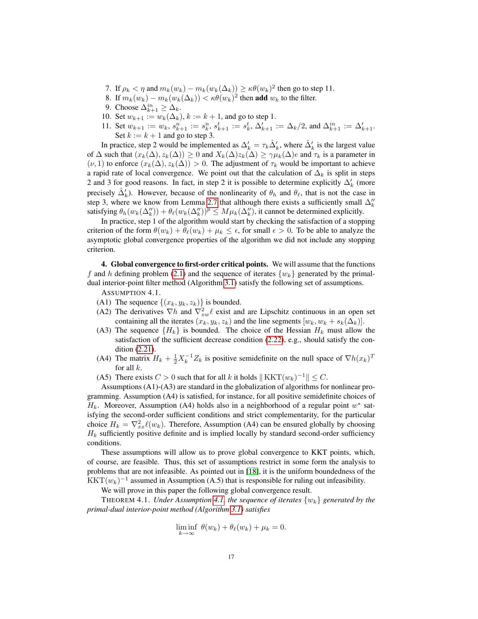- 7. If  $\rho_k < \eta$  and  $m_k(w_k) m_k(w_k(\Delta_k)) \ge \kappa \theta(w_k)^2$  then go to step 11.
- 8. If  $m_k(w_k) m_k(w_k(\Delta_k)) < \kappa \theta(w_k)^2$  then **add**  $w_k$  to the filter.
- 9. Choose  $\Delta_{k+1}^{in} \geq \Delta_k$ .
- 10. Set  $w_{k+1} := w_k(\Delta_k)$ ,  $k := k + 1$ , and go to step 1.
- 11. Set  $w_{k+1} := w_k$ ,  $s_{k+1}^n := s_k^n$ ,  $s_{k+1}^t := s_k^t$ ,  $\Delta'_{k+1} := \Delta_k/2$ , and  $\Delta_{k+1}^{in} := \Delta'_{k+1}$ . Set  $k := k + 1$  and go to step 3.

In practice, step 2 would be implemented as  $\Delta'_k = \tau_k \hat{\Delta}'_k$ , where  $\hat{\Delta}'_k$  is the largest value of  $\Delta$  such that  $(x_k(\Delta), z_k(\Delta)) \geq 0$  and  $X_k(\Delta)z_k(\Delta) \geq \gamma \mu_k(\Delta)e$  and  $\tau_k$  is a parameter in  $(\nu, 1)$  to enforce  $(x_k(\Delta), z_k(\Delta)) > 0$ . The adjustment of  $\tau_k$  would be important to achieve a rapid rate of local convergence. We point out that the calculation of  $\Delta_k$  is split in steps 2 and 3 for good reasons. In fact, in step 2 it is possible to determine explicitly  $\Delta'_k$  (more precisely  $\hat{\Delta}'_k$ ). However, because of the nonlinearity of  $\theta_h$  and  $\theta_\ell$ , that is not the case in step 3, where we know from Lemma [2.7](#page-12-0) that although there exists a sufficiently small  $\Delta_k''$ satisfying  $\theta_h(w_k(\Delta_k'')) + \theta_\ell(w_k(\Delta_k''))^p \leq M\mu_k(\Delta_k'')$ , it cannot be determined explicitly.

In practice, step 1 of the algorithm would start by checking the satisfaction of a stopping criterion of the form  $\theta(w_k) + \theta_\ell(w_k) + \mu_k \leq \epsilon$ , for small  $\epsilon > 0$ . To be able to analyze the asymptotic global convergence properties of the algorithm we did not include any stopping criterion.

<span id="page-16-0"></span>4. Global convergence to first-order critical points. We will assume that the functions f and h defining problem [\(2.1\)](#page-1-1) and the sequence of iterates  $\{w_k\}$  generated by the primaldual interior-point filter method (Algorithm [3.1\)](#page-15-0) satisfy the following set of assumptions.

<span id="page-16-1"></span>ASSUMPTION 4.1.

- (A1) The sequence  $\{(x_k, y_k, z_k)\}\$ is bounded.
- (A2) The derivatives  $\nabla h$  and  $\nabla^2_{xw}\ell$  exist and are Lipschitz continuous in an open set containing all the iterates  $(x_k, y_k, z_k)$  and the line segments  $[w_k, w_k + s_k(\Delta_k)]$ .
- (A3) The sequence  ${H_k}$  is bounded. The choice of the Hessian  $H_k$  must allow the satisfaction of the sufficient decrease condition [\(2.22\)](#page-5-7), e.g., should satisfy the condition [\(2.21\)](#page-5-2).
- (A4) The matrix  $H_k + \frac{1}{2}X_k^{-1}Z_k$  is positive semidefinite on the null space of  $\nabla h(x_k)^T$ for all  $k$ .
- (A5) There exists  $C > 0$  such that for all k it holds  $|| KKT(w_k)^{-1} || \leq C$ .

Assumptions (A1)-(A3) are standard in the globalization of algorithms for nonlinear programming. Assumption (A4) is satisfied, for instance, for all positive semidefinite choices of  $H_k$ . Moreover, Assumption (A4) holds also in a neighborhood of a regular point  $w^*$  satisfying the second-order sufficient conditions and strict complementarity, for the particular choice  $H_k = \nabla_{xx}^2 \ell(w_k)$ . Therefore, Assumption (A4) can be ensured globally by choosing  $H_k$  sufficiently positive definite and is implied locally by standard second-order sufficiency conditions.

These assumptions will allow us to prove global convergence to KKT points, which, of course, are feasible. Thus, this set of assumptions restrict in some form the analysis to problems that are not infeasible. As pointed out in [\[18\]](#page-31-0), it is the uniform boundedness of the KKT $(w_k)^{-1}$  assumed in Assumption (A.5) that is responsible for ruling out infeasibility.

We will prove in this paper the following global convergence result.

<span id="page-16-2"></span>THEOREM 4.1. *Under Assumption [4.1,](#page-16-1) the sequence of iterates*  $\{w_k\}$  generated by the *primal-dual interior-point method (Algorithm [3.1\)](#page-15-0) satisfies*

$$
\liminf_{k \to \infty} \ \theta(w_k) + \theta_\ell(w_k) + \mu_k = 0.
$$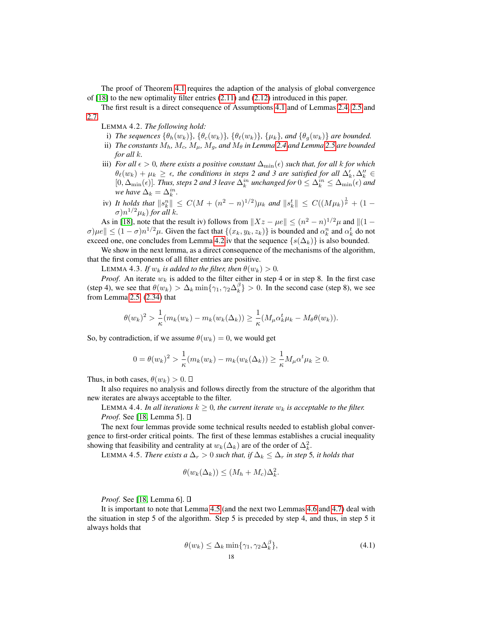The proof of Theorem [4.1](#page-16-2) requires the adaption of the analysis of global convergence of [\[18\]](#page-31-0) to the new optimality filter entries [\(2.11\)](#page-3-3) and [\(2.12\)](#page-3-2) introduced in this paper.

The first result is a direct consequence of Assumptions [4.1](#page-16-1) and of Lemmas [2.4,](#page-8-6) [2.5](#page-8-7) and [2.7.](#page-12-0)

- <span id="page-17-0"></span>LEMMA 4.2. *The following hold:*
- i) *The sequences*  $\{\theta_h(w_k)\}, \{\theta_c(w_k)\}, \{\theta_{\ell}(w_k)\}, \{\mu_k\}, \text{and } \{\theta_g(w_k)\}$  are bounded.
- ii) *The constants*  $M_h$ ,  $M_c$ ,  $M_\mu$ ,  $M_g$ , and  $M_\theta$  in Lemma [2.4](#page-8-6) and Lemma [2.5](#page-8-7) are bounded *for all* k*.*
- iii) *For all*  $\epsilon > 0$ *, there exists a positive constant*  $\Delta_{\min}(\epsilon)$  *such that, for all k for which*  $\theta_\ell(w_k) + \mu_k \geq \epsilon$ , the conditions in steps 2 and 3 are satisfied for all  $\Delta'_k, \Delta''_k \in$  $[0, \Delta_{\min}(\epsilon)]$ . Thus, steps 2 and 3 leave  $\Delta_k^{in}$  unchanged for  $0 \leq \Delta_k^{in} \leq \Delta_{\min}(\epsilon)$  and *we have*  $\Delta_k = \Delta_k^{in}$ .
- iv) *It holds that*  $\|s_k^n\| \leq C(M + (n^2 n)^{1/2})\mu_k$  and  $\|s_k^t\| \leq C((M\mu_k)^{\frac{1}{p}} + (1 (\sigma) n^{1/2} \mu_k$ ) for all k.

As in [\[18\]](#page-31-0), note that the result iv) follows from  $||Xz - \mu e|| \leq (n^2 - n)^{1/2} \mu$  and  $||(1 \sigma$ ) $\mu e \le (1 - \sigma) n^{1/2} \mu$ . Given the fact that  $\{(x_k, y_k, z_k)\}\$ is bounded and  $\alpha_k^n$  and  $\alpha_k^t$  do not exceed one, one concludes from Lemma [4.2.](#page-17-0)iv that the sequence  $\{s(\Delta_k)\}\$ is also bounded.

We show in the next lemma, as a direct consequence of the mechanisms of the algorithm, that the first components of all filter entries are positive.

LEMMA 4.3. *If*  $w_k$  *is added to the filter, then*  $\theta(w_k) > 0$ *.* 

<span id="page-17-3"></span>*Proof.* An iterate  $w_k$  is added to the filter either in step 4 or in step 8. In the first case (step 4), we see that  $\theta(w_k) > \Delta_k \min{\gamma_1, \gamma_2 \Delta_k^{\beta}} > 0$ . In the second case (step 8), we see from Lemma [2.5,](#page-8-7) [\(2.34\)](#page-8-4) that

$$
\theta(w_k)^2 > \frac{1}{\kappa} (m_k(w_k) - m_k(w_k(\Delta_k)) \ge \frac{1}{\kappa} (M_\mu \alpha_k^t \mu_k - M_\theta \theta(w_k)).
$$

So, by contradiction, if we assume  $\theta(w_k) = 0$ , we would get

$$
0 = \theta(w_k)^2 > \frac{1}{\kappa} (m_k(w_k) - m_k(w_k(\Delta_k)) \ge \frac{1}{\kappa} M_\mu \alpha^t \mu_k \ge 0.
$$

Thus, in both cases,  $\theta(w_k) > 0$ .  $\Box$ 

It also requires no analysis and follows directly from the structure of the algorithm that new iterates are always acceptable to the filter.

<span id="page-17-4"></span>LEMMA 4.4. *In all iterations*  $k \geq 0$ , the current iterate  $w_k$  is acceptable to the filter. *Proof.* See [\[18,](#page-31-0) Lemma 5]. □

The next four lemmas provide some technical results needed to establish global convergence to first-order critical points. The first of these lemmas establishes a crucial inequality showing that feasibility and centrality at  $w_k(\Delta_k)$  are of the order of  $\Delta_k^2$ .

<span id="page-17-1"></span>LEMMA 4.5. *There exists a*  $\Delta_r > 0$  *such that, if*  $\Delta_k \leq \Delta_r$  *in step* 5*, it holds that* 

$$
\theta(w_k(\Delta_k)) \le (M_h + M_c)\Delta_k^2.
$$

*Proof*. See [\[18,](#page-31-0) Lemma 6].

It is important to note that Lemma [4.5](#page-17-1) (and the next two Lemmas [4.6](#page-18-0) and [4.7\)](#page-19-0) deal with the situation in step 5 of the algorithm. Step 5 is preceded by step 4, and thus, in step 5 it always holds that

<span id="page-17-2"></span>
$$
\theta(w_k) \le \Delta_k \min\{\gamma_1, \gamma_2 \Delta_k^{\beta}\},\tag{4.1}
$$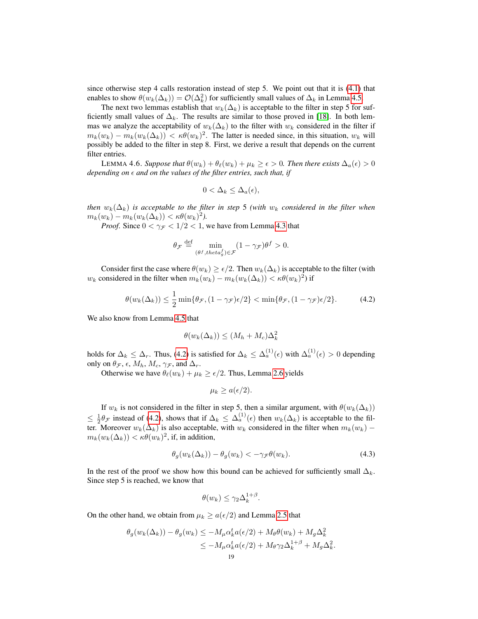since otherwise step 4 calls restoration instead of step 5. We point out that it is [\(4.1\)](#page-17-2) that enables to show  $\theta(w_k(\Delta_k)) = \mathcal{O}(\Delta_k^2)$  for sufficiently small values of  $\Delta_k$  in Lemma [4.5.](#page-17-1)

The next two lemmas establish that  $w_k(\Delta_k)$  is acceptable to the filter in step 5 for sufficiently small values of  $\Delta_k$ . The results are similar to those proved in [\[18\]](#page-31-0). In both lemmas we analyze the acceptability of  $w_k(\Delta_k)$  to the filter with  $w_k$  considered in the filter if  $m_k(w_k) - m_k(w_k(\Delta_k)) < \kappa \theta(w_k)^2$ . The latter is needed since, in this situation,  $w_k$  will possibly be added to the filter in step 8. First, we derive a result that depends on the current filter entries.

<span id="page-18-0"></span>LEMMA 4.6. *Suppose that*  $\theta(w_k) + \theta_\ell(w_k) + \mu_k \geq \epsilon > 0$ *. Then there exists*  $\Delta_a(\epsilon) > 0$ *depending on*  $\epsilon$  *and on the values of the filter entries, such that, if* 

<span id="page-18-1"></span>
$$
0 < \Delta_k \leq \Delta_a(\epsilon),
$$

*then*  $w_k(\Delta_k)$  *is acceptable to the filter in step* 5 *(with*  $w_k$  *considered in the filter when*  $m_k(w_k) - m_k(w_k(\Delta_k)) < \kappa \theta(w_k)^2.$ 

*Proof.* Since  $0 < \gamma_{\mathcal{F}} < 1/2 < 1$ , we have from Lemma [4.3](#page-17-3) that

$$
\theta_{\mathcal{F}} \stackrel{\text{def}}{=} \min_{(\theta^f, t h e t a_g^f) \in \mathcal{F}} (1 - \gamma_{\mathcal{F}}) \theta^f > 0.
$$

Consider first the case where  $\theta(w_k) \geq \epsilon/2$ . Then  $w_k(\Delta_k)$  is acceptable to the filter (with  $w_k$  considered in the filter when  $m_k(w_k) - m_k(w_k(\Delta_k)) < \kappa \theta(w_k)^2$  if

$$
\theta(w_k(\Delta_k)) \le \frac{1}{2} \min\{\theta_{\mathcal{F}}, (1 - \gamma_{\mathcal{F}})\epsilon/2\} < \min\{\theta_{\mathcal{F}}, (1 - \gamma_{\mathcal{F}})\epsilon/2\}.
$$
 (4.2)

We also know from Lemma [4.5](#page-17-1) that

$$
\theta(w_k(\Delta_k)) \le (M_h + M_c)\Delta_k^2
$$

holds for  $\Delta_k \leq \Delta_r$ . Thus, [\(4.2\)](#page-18-1) is satisfied for  $\Delta_k \leq \Delta_a^{(1)}(\epsilon)$  with  $\Delta_a^{(1)}(\epsilon) > 0$  depending only on  $\theta_{\mathcal{F}}, \epsilon, M_h, M_c, \gamma_{\mathcal{F}},$  and  $\Delta_r$ .

Otherwise we have  $\theta_{\ell}(w_k) + \mu_k \ge \epsilon/2$ . Thus, Lemma [2.6](#page-11-1) yields

<span id="page-18-2"></span>
$$
\mu_k \ge a(\epsilon/2).
$$

If  $w_k$  is not considered in the filter in step 5, then a similar argument, with  $\theta(w_k(\Delta_k))$  $\leq \frac{1}{2}\theta_{\mathcal{F}}$  instead of [\(4.2\)](#page-18-1), shows that if  $\Delta_k \leq \Delta_a^{(1)}(\epsilon)$  then  $w_k(\Delta_k)$  is acceptable to the filter. Moreover  $w_k(\Delta_k)$  is also acceptable, with  $w_k$  considered in the filter when  $m_k(w_k)$  –  $m_k(w_k(\Delta_k)) < \kappa \theta(w_k)^2$ , if, in addition,

$$
\theta_g(w_k(\Delta_k)) - \theta_g(w_k) < -\gamma_{\mathcal{F}}\theta(w_k). \tag{4.3}
$$

In the rest of the proof we show how this bound can be achieved for sufficiently small  $\Delta_k$ . Since step 5 is reached, we know that

$$
\theta(w_k) \leq \gamma_2 \Delta_k^{1+\beta}.
$$

On the other hand, we obtain from  $\mu_k \ge a(\epsilon/2)$  and Lemma [2.5](#page-8-7) that

$$
\theta_g(w_k(\Delta_k)) - \theta_g(w_k) \le -M_\mu \alpha_k^t a(\epsilon/2) + M_\theta \theta(w_k) + M_g \Delta_k^2
$$
  

$$
\le -M_\mu \alpha_k^t a(\epsilon/2) + M_\theta \gamma_2 \Delta_k^{1+\beta} + M_g \Delta_k^2.
$$
  
19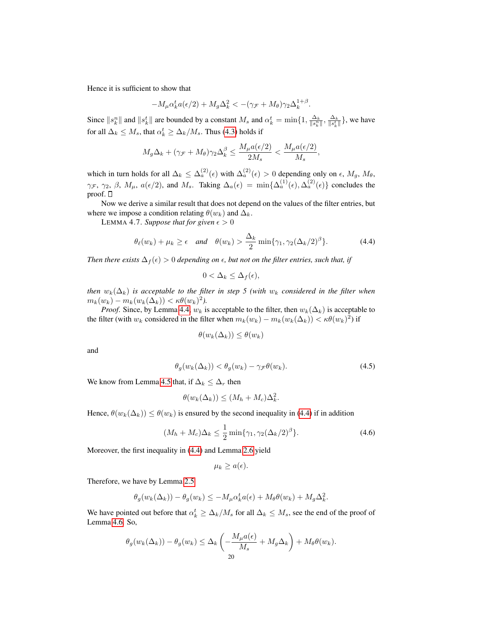Hence it is sufficient to show that

$$
-M_{\mu}\alpha_k^t a(\epsilon/2) + M_g \Delta_k^2 < -(\gamma_{\mathcal{F}} + M_{\theta})\gamma_2 \Delta_k^{1+\beta}.
$$

Since  $||s_k^n||$  and  $||s_k^t||$  are bounded by a constant  $M_s$  and  $\alpha_k^t = \min\{1, \frac{\Delta_k}{||s_k^n||}, \frac{\Delta_k}{||s_k^t||}\}$ , we have for all  $\Delta_k \leq M_s$ , that  $\alpha_k^t \geq \Delta_k/M_s$ . Thus [\(4.3\)](#page-18-2) holds if

$$
M_g \Delta_k + (\gamma_{\mathcal{F}} + M_\theta) \gamma_2 \Delta_k^{\beta} \le \frac{M_\mu a(\epsilon/2)}{2M_s} < \frac{M_\mu a(\epsilon/2)}{M_s},
$$

which in turn holds for all  $\Delta_k \leq \Delta_a^{(2)}(\epsilon)$  with  $\Delta_a^{(2)}(\epsilon) > 0$  depending only on  $\epsilon$ ,  $M_g$ ,  $M_\theta$ ,  $\gamma_{\mathcal{F}}, \gamma_2, \beta, M_{\mu}, a(\epsilon/2)$ , and  $M_s$ . Taking  $\Delta_a(\epsilon) = \min\{\Delta_a^{(1)}(\epsilon), \Delta_a^{(2)}(\epsilon)\}\)$  concludes the proof.  $\square$ 

Now we derive a similar result that does not depend on the values of the filter entries, but where we impose a condition relating  $\theta(w_k)$  and  $\Delta_k$ .

<span id="page-19-0"></span>LEMMA 4.7. *Suppose that for given*  $\epsilon > 0$ 

$$
\theta_{\ell}(w_k) + \mu_k \ge \epsilon \quad \text{and} \quad \theta(w_k) > \frac{\Delta_k}{2} \min\{\gamma_1, \gamma_2(\Delta_k/2)^{\beta}\}. \tag{4.4}
$$

*Then there exists*  $\Delta_f(\epsilon) > 0$  *depending on*  $\epsilon$ , *but not on the filter entries, such that, if* 

<span id="page-19-1"></span>
$$
0 < \Delta_k \leq \Delta_f(\epsilon),
$$

*then*  $w_k(\Delta_k)$  *is acceptable to the filter in step* 5 (with  $w_k$  *considered in the filter when*  $m_k(w_k) - m_k(w_k(\Delta_k)) < \kappa \theta(w_k)^2.$ 

*Proof.* Since, by Lemma [4.4,](#page-17-4)  $w_k$  is acceptable to the filter, then  $w_k(\Delta_k)$  is acceptable to the filter (with  $w_k$  considered in the filter when  $m_k(w_k) - m_k(w_k(\Delta_k)) < \kappa \theta(w_k)^2$ ) if

$$
\theta(w_k(\Delta_k)) \le \theta(w_k)
$$

<span id="page-19-2"></span>and

$$
\theta_g(w_k(\Delta_k)) < \theta_g(w_k) - \gamma_{\mathcal{F}}\theta(w_k). \tag{4.5}
$$

We know from Lemma [4.5](#page-17-1) that, if  $\Delta_k \leq \Delta_r$  then

$$
\theta(w_k(\Delta_k)) \le (M_h + M_c)\Delta_k^2.
$$

Hence,  $\theta(w_k(\Delta_k)) \leq \theta(w_k)$  is ensured by the second inequality in [\(4.4\)](#page-19-1) if in addition

$$
(M_h + M_c)\Delta_k \le \frac{1}{2}\min\{\gamma_1, \gamma_2(\Delta_k/2)^\beta\}.
$$
\n(4.6)

<span id="page-19-3"></span>.

Moreover, the first inequality in [\(4.4\)](#page-19-1) and Lemma [2.6](#page-11-1) yield

$$
\mu_k \geq a(\epsilon).
$$

Therefore, we have by Lemma [2.5](#page-8-7)

$$
\theta_g(w_k(\Delta_k)) - \theta_g(w_k) \le -M_\mu \alpha_k^t a(\epsilon) + M_\theta \theta(w_k) + M_g \Delta_k^2
$$

We have pointed out before that  $\alpha_k^t \geq \Delta_k/M_s$  for all  $\Delta_k \leq M_s$ , see the end of the proof of Lemma [4.6.](#page-18-0) So,

$$
\theta_g(w_k(\Delta_k)) - \theta_g(w_k) \leq \Delta_k \left( -\frac{M_\mu a(\epsilon)}{M_s} + M_g \Delta_k \right) + M_\theta \theta(w_k).
$$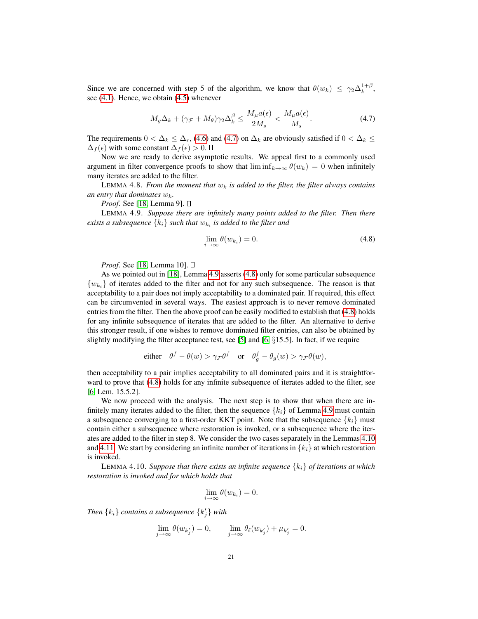Since we are concerned with step 5 of the algorithm, we know that  $\theta(w_k) \leq \gamma_2 \Delta_k^{1+\beta}$ , see [\(4.1\)](#page-17-2). Hence, we obtain [\(4.5\)](#page-19-2) whenever

<span id="page-20-0"></span>
$$
M_g \Delta_k + (\gamma \mathcal{F} + M_\theta) \gamma_2 \Delta_k^\beta \le \frac{M_\mu a(\epsilon)}{2M_s} < \frac{M_\mu a(\epsilon)}{M_s}.\tag{4.7}
$$

The requirements  $0 < \Delta_k \leq \Delta_r$ , [\(4.6\)](#page-19-3) and [\(4.7\)](#page-20-0) on  $\Delta_k$  are obviously satisfied if  $0 < \Delta_k \leq$  $\Delta_f(\epsilon)$  with some constant  $\Delta_f(\epsilon) > 0$ .  $\Box$ 

Now we are ready to derive asymptotic results. We appeal first to a commonly used argument in filter convergence proofs to show that  $\liminf_{k\to\infty} \theta(w_k) = 0$  when infinitely many iterates are added to the filter.

LEMMA 4.8. *From the moment that*  $w_k$  *is added to the filter, the filter always contains* an entry that dominates  $w_k$ .

*Proof.* See [\[18,](#page-31-0) Lemma 9]. □

<span id="page-20-1"></span>LEMMA 4.9. *Suppose there are infinitely many points added to the filter. Then there*  $e$ xists a subsequence  $\{k_i\}$  such that  $w_{k_i}$  is added to the filter and

<span id="page-20-2"></span>
$$
\lim_{i \to \infty} \theta(w_{k_i}) = 0. \tag{4.8}
$$

*Proof.* See [\[18,](#page-31-0) Lemma 10]. □

As we pointed out in [\[18\]](#page-31-0), Lemma [4.9](#page-20-1) asserts [\(4.8\)](#page-20-2) only for some particular subsequence  ${w_{k_i}}$  of iterates added to the filter and not for any such subsequence. The reason is that acceptability to a pair does not imply acceptability to a dominated pair. If required, this effect can be circumvented in several ways. The easiest approach is to never remove dominated entries from the filter. Then the above proof can be easily modified to establish that [\(4.8\)](#page-20-2) holds for any infinite subsequence of iterates that are added to the filter. An alternative to derive this stronger result, if one wishes to remove dominated filter entries, can also be obtained by slightly modifying the filter acceptance test, see [\[5\]](#page-30-6) and [\[6,](#page-30-7)  $\S 15.5$ ]. In fact, if we require

either 
$$
\theta^f - \theta(w) > \gamma_{\mathcal{F}} \theta^f
$$
 or  $\theta_g^f - \theta_g(w) > \gamma_{\mathcal{F}} \theta(w)$ ,

then acceptability to a pair implies acceptability to all dominated pairs and it is straightforward to prove that [\(4.8\)](#page-20-2) holds for any infinite subsequence of iterates added to the filter, see [\[6,](#page-30-7) Lem. 15.5.2].

We now proceed with the analysis. The next step is to show that when there are infinitely many iterates added to the filter, then the sequence  ${k_i}$  of Lemma [4.9](#page-20-1) must contain a subsequence converging to a first-order KKT point. Note that the subsequence  $\{k_i\}$  must contain either a subsequence where restoration is invoked, or a subsequence where the iterates are added to the filter in step 8. We consider the two cases separately in the Lemmas [4.10](#page-20-3) and [4.11.](#page-23-0) We start by considering an infinite number of iterations in  ${k_i}$  at which restoration is invoked.

<span id="page-20-3"></span>LEMMA 4.10. *Suppose that there exists an infinite sequence* {ki} *of iterations at which restoration is invoked and for which holds that*

$$
\lim_{i \to \infty} \theta(w_{k_i}) = 0.
$$

*Then*  $\{k_i\}$  *contains a subsequence*  $\{k'_j\}$  *with* 

$$
\lim_{j \to \infty} \theta(w_{k'_j}) = 0, \qquad \lim_{j \to \infty} \theta_{\ell}(w_{k'_j}) + \mu_{k'_j} = 0.
$$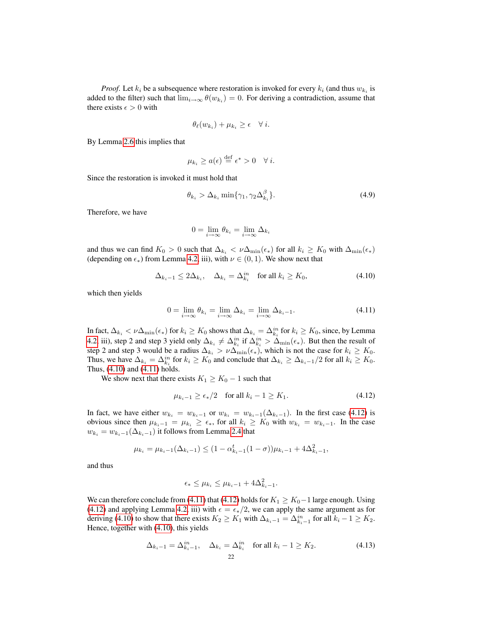*Proof.* Let  $k_i$  be a subsequence where restoration is invoked for every  $k_i$  (and thus  $w_{k_i}$  is added to the filter) such that  $\lim_{i\to\infty} \theta(w_{k_i}) = 0$ . For deriving a contradiction, assume that there exists  $\epsilon > 0$  with

$$
\theta_{\ell}(w_{k_i}) + \mu_{k_i} \geq \epsilon \quad \forall \ i.
$$

By Lemma [2.6](#page-11-1) this implies that

<span id="page-21-4"></span>
$$
\mu_{k_i} \ge a(\epsilon) \stackrel{\text{def}}{=} \epsilon^* > 0 \quad \forall \ i.
$$

Since the restoration is invoked it must hold that

$$
\theta_{k_i} > \Delta_{k_i} \min\{\gamma_1, \gamma_2 \Delta_{k_i}^\beta\}.\tag{4.9}
$$

Therefore, we have

<span id="page-21-0"></span>
$$
0 = \lim_{i \to \infty} \theta_{k_i} = \lim_{i \to \infty} \Delta_{k_i}
$$

and thus we can find  $K_0 > 0$  such that  $\Delta_{k_i} < \nu \Delta_{\min}(\epsilon_*)$  for all  $k_i \ge K_0$  with  $\Delta_{\min}(\epsilon_*)$ (depending on  $\epsilon_*$ ) from Lemma [4.2,](#page-17-0) iii), with  $\nu \in (0,1)$ . We show next that

<span id="page-21-1"></span>
$$
\Delta_{k_i-1} \le 2\Delta_{k_i}, \quad \Delta_{k_i} = \Delta_{k_i}^{in} \quad \text{for all } k_i \ge K_0,
$$
\n
$$
(4.10)
$$

which then yields

$$
0 = \lim_{i \to \infty} \theta_{k_i} = \lim_{i \to \infty} \Delta_{k_i} = \lim_{i \to \infty} \Delta_{k_i - 1}.
$$
\n(4.11)

In fact,  $\Delta_{k_i} < \nu \Delta_{\min}(\epsilon_*)$  for  $k_i \ge K_0$  shows that  $\Delta_{k_i} = \Delta_{k_i}^{in}$  for  $k_i \ge K_0$ , since, by Lemma [4.2,](#page-17-0) iii), step 2 and step 3 yield only  $\Delta_{k_i} \neq \Delta_{k_i}^{in}$  if  $\Delta_{k_i}^{in} > \Delta_{\min}(\epsilon_*)$ . But then the result of step 2 and step 3 would be a radius  $\Delta_{k_i} > \nu \Delta_{\min}(\epsilon_*)$ , which is not the case for  $k_i \geq K_0$ . Thus, we have  $\Delta_{k_i} = \Delta_{k_i}^{in}$  for  $k_i \ge K_0$  and conclude that  $\Delta_{k_i} \ge \Delta_{k_i-1}/2$  for all  $k_i \ge K_0$ . Thus, [\(4.10\)](#page-21-0) and [\(4.11\)](#page-21-1) holds.

We show next that there exists  $K_1 \ge K_0 - 1$  such that

<span id="page-21-2"></span>
$$
\mu_{k_i-1} \ge \epsilon_*/2 \quad \text{for all } k_i-1 \ge K_1. \tag{4.12}
$$

In fact, we have either  $w_{k_i} = w_{k_i-1}$  or  $w_{k_i} = w_{k_i-1}(\Delta_{k_i-1})$ . In the first case [\(4.12\)](#page-21-2) is obvious since then  $\mu_{k_i-1} = \mu_{k_i} \ge \epsilon_*$ , for all  $k_i \ge K_0$  with  $w_{k_i} = w_{k_i-1}$ . In the case  $w_{k_i} = w_{k_i-1}(\Delta_{k_i-1})$  it follows from Lemma [2.4](#page-8-6) that

$$
\mu_{k_i} = \mu_{k_i-1}(\Delta_{k_i-1}) \le (1 - \alpha_{k_i-1}^t (1 - \sigma))\mu_{k_i-1} + 4\Delta_{k_i-1}^2,
$$

and thus

<span id="page-21-3"></span>
$$
\epsilon_* \leq \mu_{k_i} \leq \mu_{k_i-1} + 4\Delta_{k_i-1}^2.
$$

We can therefore conclude from [\(4.11\)](#page-21-1) that [\(4.12\)](#page-21-2) holds for  $K_1 \geq K_0-1$  large enough. Using [\(4.12\)](#page-21-2) and applying Lemma [4.2,](#page-17-0) iii) with  $\epsilon = \epsilon_*/2$ , we can apply the same argument as for deriving [\(4.10\)](#page-21-0) to show that there exists  $K_2 \ge K_1$  with  $\Delta_{k_i-1} = \Delta_{k_i-1}^{in}$  for all  $k_i-1 \ge K_2$ . Hence, together with [\(4.10\)](#page-21-0), this yields

$$
\Delta_{k_i-1} = \Delta_{k_i-1}^{in}, \quad \Delta_{k_i} = \Delta_{k_i}^{in} \quad \text{for all } k_i - 1 \ge K_2. \tag{4.13}
$$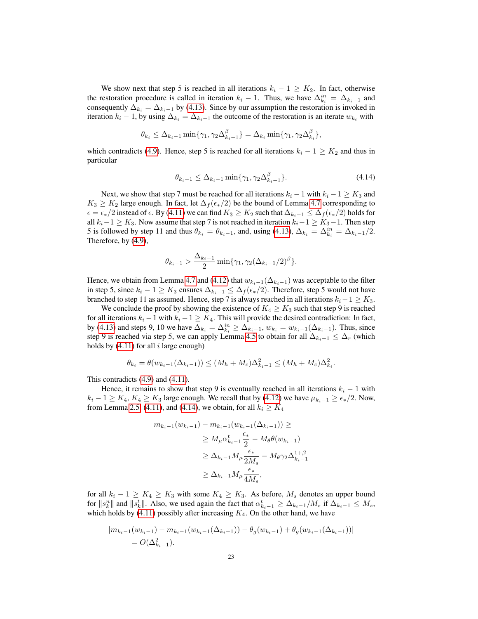We show next that step 5 is reached in all iterations  $k_i - 1 \geq K_2$ . In fact, otherwise the restoration procedure is called in iteration  $k_i - 1$ . Thus, we have  $\Delta_{k_i}^{in} = \Delta_{k_i-1}$  and consequently  $\Delta_{k_i} = \Delta_{k_i-1}$  by [\(4.13\)](#page-21-3). Since by our assumption the restoration is invoked in iteration  $k_i - 1$ , by using  $\Delta_{k_i} = \Delta_{k_i-1}$  the outcome of the restoration is an iterate  $w_{k_i}$  with

$$
\theta_{k_i} \leq \Delta_{k_i-1} \min \{ \gamma_1, \gamma_2 \Delta_{k_i-1}^{\beta} \} = \Delta_{k_i} \min \{ \gamma_1, \gamma_2 \Delta_{k_i}^{\beta} \},
$$

<span id="page-22-0"></span>which contradicts [\(4.9\)](#page-21-4). Hence, step 5 is reached for all iterations  $k_i - 1 \geq K_2$  and thus in particular

$$
\theta_{k_i-1} \le \Delta_{k_i-1} \min \{ \gamma_1, \gamma_2 \Delta_{k_i-1}^{\beta} \}. \tag{4.14}
$$

Next, we show that step 7 must be reached for all iterations  $k_i - 1$  with  $k_i - 1 \geq K_3$  and  $K_3 \geq K_2$  large enough. In fact, let  $\Delta_f(\epsilon_*/2)$  be the bound of Lemma [4.7](#page-19-0) corresponding to  $\epsilon = \epsilon_*/2$  instead of  $\epsilon$ . By [\(4.11\)](#page-21-1) we can find  $K_3 \ge K_2$  such that  $\Delta_{k_*-1} \le \Delta_f(\epsilon_*/2)$  holds for all  $k_i-1 \geq K_3$ . Now assume that step 7 is not reached in iteration  $k_i-1 \geq K_3-1$ . Then step 5 is followed by step 11 and thus  $\theta_{k_i} = \theta_{k_i-1}$ , and, using [\(4.13\)](#page-21-3),  $\Delta_{k_i} = \Delta_{k_i}^{in} = \Delta_{k_i-1}/2$ . Therefore, by [\(4.9\)](#page-21-4),

$$
\theta_{k_i-1} > \frac{\Delta_{k_i-1}}{2} \min{\{\gamma_1, \gamma_2(\Delta_{k_i-1}/2)^\beta\}}.
$$

Hence, we obtain from Lemma [4.7](#page-19-0) and [\(4.12\)](#page-21-2) that  $w_{k_i-1}(\Delta_{k_i-1})$  was acceptable to the filter in step 5, since  $k_i - 1 \geq K_3$  ensures  $\Delta_{k_i-1} \leq \Delta_f(\epsilon_*/2)$ . Therefore, step 5 would not have branched to step 11 as assumed. Hence, step 7 is always reached in all iterations  $k_i-1 \geq K_3$ .

We conclude the proof by showing the existence of  $K_4 \geq K_3$  such that step 9 is reached for all iterations  $k_i - 1$  with  $k_i - 1 \geq K_4$ . This will provide the desired contradiction: In fact, by [\(4.13\)](#page-21-3) and steps 9, 10 we have  $\Delta_{k_i} = \Delta_{k_i}^{in} \ge \Delta_{k_i-1}$ ,  $w_{k_i} = w_{k_i-1}(\Delta_{k_i-1})$ . Thus, since step 9 is reached via step 5, we can apply Lemma [4.5](#page-17-1) to obtain for all  $\Delta_{k_i-1} \leq \Delta_r$  (which holds by  $(4.11)$  for all i large enough)

$$
\theta_{k_i} = \theta(w_{k_i-1}(\Delta_{k_i-1})) \le (M_h + M_c)\Delta_{k_i-1}^2 \le (M_h + M_c)\Delta_{k_i}^2.
$$

This contradicts [\(4.9\)](#page-21-4) and [\(4.11\)](#page-21-1).

Hence, it remains to show that step 9 is eventually reached in all iterations  $k_i - 1$  with  $k_i - 1 \ge K_4, K_4 \ge K_3$  large enough. We recall that by [\(4.12\)](#page-21-2) we have  $\mu_{k_i-1} \ge \epsilon_*/2$ . Now, from Lemma [2.5,](#page-8-7) [\(4.11\)](#page-21-1), and [\(4.14\)](#page-22-0), we obtain, for all  $k_i \geq K_4$ 

$$
m_{k_i-1}(w_{k_i-1}) - m_{k_i-1}(w_{k_i-1}(\Delta_{k_i-1})) \ge
$$
  
\n
$$
\ge M_\mu \alpha_{k_i-1}^\ell \frac{\epsilon_*}{2} - M_\theta \theta(w_{k_i-1})
$$
  
\n
$$
\ge \Delta_{k_i-1} M_\mu \frac{\epsilon_*}{2M_s} - M_\theta \gamma_2 \Delta_{k_i-1}^{1+\beta}
$$
  
\n
$$
\ge \Delta_{k_i-1} M_\mu \frac{\epsilon_*}{4M_s},
$$

for all  $k_i - 1 \ge K_4 \ge K_3$  with some  $K_4 \ge K_3$ . As before,  $M_s$  denotes an upper bound for  $||s_k^n||$  and  $||s_k^t||$ . Also, we used again the fact that  $\alpha_{k_i-1}^t \geq \Delta_{k_i-1}/M_s$  if  $\Delta_{k_i-1} \leq M_s$ , which holds by [\(4.11\)](#page-21-1) possibly after increasing  $K_4$ . On the other hand, we have

$$
|m_{k_i-1}(w_{k_i-1})-m_{k_i-1}(w_{k_i-1}(\Delta_{k_i-1}))-\theta_g(w_{k_i-1})+\theta_g(w_{k_i-1}(\Delta_{k_i-1}))|
$$
  
=  $O(\Delta_{k_i-1}^2)$ .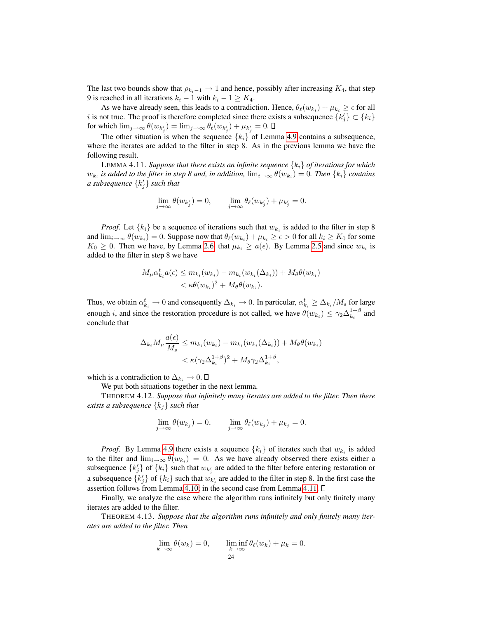The last two bounds show that  $\rho_{k_i-1} \to 1$  and hence, possibly after increasing  $K_4$ , that step 9 is reached in all iterations  $k_i - 1$  with  $k_i - 1 \ge K_4$ .

As we have already seen, this leads to a contradiction. Hence,  $\theta_{\ell}(w_{k_i}) + \mu_{k_i} \ge \epsilon$  for all i is not true. The proof is therefore completed since there exists a subsequence  $\{k'_j\} \subset \{k_i\}$ for which  $\lim_{j\to\infty} \theta(w_{k'_j}) = \lim_{j\to\infty} \theta_\ell(w_{k'_j}) + \mu_{k'_j} = 0.$ 

The other situation is when the sequence  ${k_i}$  of Lemma [4.9](#page-20-1) contains a subsequence, where the iterates are added to the filter in step 8. As in the previous lemma we have the following result.

<span id="page-23-0"></span>LEMMA 4.11. *Suppose that there exists an infinite sequence* {ki} *of iterations for which*  $w_{k_i}$  is added to the filter in step 8 and, in addition,  $\lim_{i\to\infty}\theta(w_{k_i})=0$ . Then  $\{k_i\}$  contains *a* subsequence  $\{k'_j\}$  such that

$$
\lim_{j \to \infty} \theta(w_{k'_j}) = 0, \qquad \lim_{j \to \infty} \theta_\ell(w_{k'_j}) + \mu_{k'_j} = 0.
$$

*Proof.* Let  $\{k_i\}$  be a sequence of iterations such that  $w_{k_i}$  is added to the filter in step 8 and  $\lim_{i\to\infty}\theta(w_{k_i})=0$ . Suppose now that  $\theta_\ell(w_{k_i})+\mu_{k_i}\geq\epsilon>0$  for all  $k_i\geq K_0$  for some  $K_0 \geq 0$ . Then we have, by Lemma [2.6,](#page-11-1) that  $\mu_{k_i} \geq a(\epsilon)$ . By Lemma [2.5](#page-8-7) and since  $w_{k_i}$  is added to the filter in step 8 we have

$$
M_{\mu}\alpha_{k_i}^t a(\epsilon) \le m_{k_i}(w_{k_i}) - m_{k_i}(w_{k_i}(\Delta_{k_i})) + M_{\theta}\theta(w_{k_i})
$$
  

$$
< \kappa\theta(w_{k_i})^2 + M_{\theta}\theta(w_{k_i}).
$$

Thus, we obtain  $\alpha_{k_i}^t \to 0$  and consequently  $\Delta_{k_i} \to 0$ . In particular,  $\alpha_{k_i}^t \geq \Delta_{k_i}/M_s$  for large enough *i*, and since the restoration procedure is not called, we have  $\theta(w_{k_i}) \leq \gamma_2 \Delta_{k_i}^{1+\beta}$  and conclude that

$$
\Delta_{k_i} M_\mu \frac{a(\epsilon)}{M_s} \le m_{k_i}(w_{k_i}) - m_{k_i}(w_{k_i}(\Delta_{k_i})) + M_\theta \theta(w_{k_i})
$$
  

$$
< \kappa (\gamma_2 \Delta_{k_i}^{1+\beta})^2 + M_\theta \gamma_2 \Delta_{k_i}^{1+\beta},
$$

which is a contradiction to  $\Delta_{k_i} \to 0$ .  $\square$ 

We put both situations together in the next lemma.

<span id="page-23-1"></span>THEOREM 4.12. *Suppose that infinitely many iterates are added to the filter. Then there exists a subsequence* {kj} *such that*

$$
\lim_{j \to \infty} \theta(w_{k_j}) = 0, \qquad \lim_{j \to \infty} \theta_{\ell}(w_{k_j}) + \mu_{k_j} = 0.
$$

*Proof.* By Lemma [4.9](#page-20-1) there exists a sequence  $\{k_i\}$  of iterates such that  $w_{k_i}$  is added to the filter and  $\lim_{i\to\infty} \theta(w_{k_i}) = 0$ . As we have already observed there exists either a subsequence  $\{k'_j\}$  of  $\{k_i\}$  such that  $w_{k'_j}$  are added to the filter before entering restoration or a subsequence  $\{k'_j\}$  of  $\{k_i\}$  such that  $w_{k'_j}$  are added to the filter in step 8. In the first case the assertion follows from Lemma [4.10;](#page-20-3) in the second case from Lemma [4.11.](#page-23-0)  $\Box$ 

Finally, we analyze the case where the algorithm runs infinitely but only finitely many iterates are added to the filter.

<span id="page-23-2"></span>THEOREM 4.13. *Suppose that the algorithm runs infinitely and only finitely many iterates are added to the filter. Then*

$$
\lim_{k \to \infty} \theta(w_k) = 0, \qquad \liminf_{k \to \infty} \theta_\ell(w_k) + \mu_k = 0.
$$
\n
$$
24
$$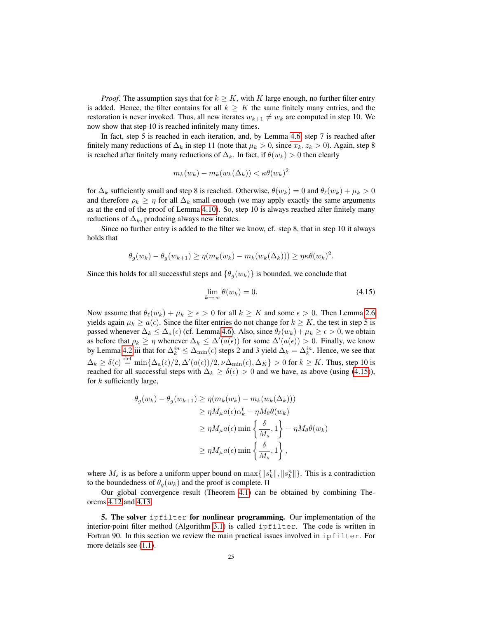*Proof.* The assumption says that for  $k \geq K$ , with K large enough, no further filter entry is added. Hence, the filter contains for all  $k \geq K$  the same finitely many entries, and the restoration is never invoked. Thus, all new iterates  $w_{k+1} \neq w_k$  are computed in step 10. We now show that step 10 is reached infinitely many times.

In fact, step 5 is reached in each iteration, and, by Lemma [4.6,](#page-18-0) step 7 is reached after finitely many reductions of  $\Delta_k$  in step 11 (note that  $\mu_k > 0$ , since  $x_k, z_k > 0$ ). Again, step 8 is reached after finitely many reductions of  $\Delta_k$ . In fact, if  $\theta(w_k) > 0$  then clearly

$$
m_k(w_k) - m_k(w_k(\Delta_k)) < \kappa \theta(w_k)^2
$$

for  $\Delta_k$  sufficiently small and step 8 is reached. Otherwise,  $\theta(w_k) = 0$  and  $\theta_\ell(w_k) + \mu_k > 0$ and therefore  $\rho_k \geq \eta$  for all  $\Delta_k$  small enough (we may apply exactly the same arguments as at the end of the proof of Lemma [4.10\)](#page-20-3). So, step 10 is always reached after finitely many reductions of  $\Delta_k$ , producing always new iterates.

Since no further entry is added to the filter we know, cf. step 8, that in step 10 it always holds that

$$
\theta_g(w_k) - \theta_g(w_{k+1}) \ge \eta(m_k(w_k) - m_k(w_k(\Delta_k))) \ge \eta \kappa \theta(w_k)^2.
$$

Since this holds for all successful steps and  $\{\theta_g(w_k)\}\$ is bounded, we conclude that

<span id="page-24-0"></span>
$$
\lim_{k \to \infty} \theta(w_k) = 0. \tag{4.15}
$$

Now assume that  $\theta_{\ell}(w_k) + \mu_k \geq \epsilon > 0$  for all  $k \geq K$  and some  $\epsilon > 0$ . Then Lemma [2.6](#page-11-1) yields again  $\mu_k \ge a(\epsilon)$ . Since the filter entries do not change for  $k \ge K$ , the test in step 5 is passed whenever  $\Delta_k \leq \Delta_a(\epsilon)$  (cf. Lemma [4.6\)](#page-18-0). Also, since  $\theta_\ell(w_k) + \mu_k \geq \epsilon > 0$ , we obtain as before that  $\rho_k \geq \eta$  whenever  $\Delta_k \leq \Delta'(a(\epsilon))$  for some  $\Delta'(a(\epsilon)) > 0$ . Finally, we know by Lemma [4.2.](#page-17-0)iii that for  $\Delta_k^{in} \leq \Delta_{\min}(\epsilon)$  steps 2 and 3 yield  $\Delta_k = \Delta_k^{in}$ . Hence, we see that  $\Delta_k \ge \delta(\epsilon) \stackrel{\text{def}}{=} \min\{\Delta_a(\epsilon)/2, \Delta'(a(\epsilon))/2, \nu\Delta_{\min}(\epsilon), \Delta_K\} > 0$  for  $k \ge K$ . Thus, step 10 is reached for all successful steps with  $\Delta_k \ge \delta(\epsilon) > 0$  and we have, as above (using [\(4.15\)](#page-24-0)), for  $k$  sufficiently large,

$$
\theta_g(w_k) - \theta_g(w_{k+1}) \ge \eta(m_k(w_k) - m_k(w_k(\Delta_k)))
$$
  
\n
$$
\ge \eta M_\mu a(\epsilon) \alpha_k^t - \eta M_\theta \theta(w_k)
$$
  
\n
$$
\ge \eta M_\mu a(\epsilon) \min \left\{ \frac{\delta}{M_s}, 1 \right\} - \eta M_\theta \theta(w_k)
$$
  
\n
$$
\ge \eta M_\mu a(\epsilon) \min \left\{ \frac{\delta}{M_s}, 1 \right\},
$$

where  $M_s$  is as before a uniform upper bound on  $\max\{||s_k^t||, ||s_k^n||\}$ . This is a contradiction to the boundedness of  $\theta_g(w_k)$  and the proof is complete.  $\Box$ 

Our global convergence result (Theorem [4.1\)](#page-16-2) can be obtained by combining Theorems [4.12](#page-23-1) and [4.13.](#page-23-2)

5. The solver ipfilter for nonlinear programming. Our implementation of the interior-point filter method (Algorithm [3.1\)](#page-15-0) is called ipfilter. The code is written in Fortran 90. In this section we review the main practical issues involved in ipfilter. For more details see [\(1.1\)](#page-1-2).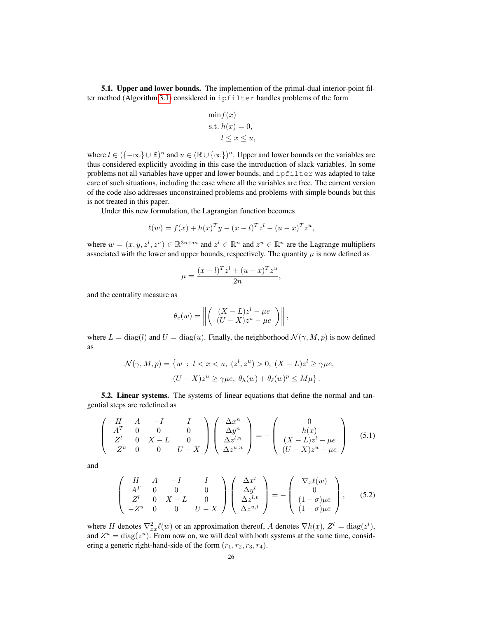5.1. Upper and lower bounds. The implemention of the primal-dual interior-point filter method (Algorithm [3.1\)](#page-15-0) considered in ipfilter handles problems of the form

<span id="page-25-0"></span>
$$
\min f(x)
$$
  
s.t.  $h(x) = 0$ ,  
 $l \le x \le u$ ,

where  $l \in (\{-\infty\} \cup \mathbb{R})^n$  and  $u \in (\mathbb{R} \cup \{\infty\})^n$ . Upper and lower bounds on the variables are thus considered explicitly avoiding in this case the introduction of slack variables. In some problems not all variables have upper and lower bounds, and ipfilter was adapted to take care of such situations, including the case where all the variables are free. The current version of the code also addresses unconstrained problems and problems with simple bounds but this is not treated in this paper.

Under this new formulation, the Lagrangian function becomes

$$
\ell(w) = f(x) + h(x)^T y - (x - l)^T z^l - (u - x)^T z^u,
$$

where  $w = (x, y, z^l, z^u) \in \mathbb{R}^{3n+m}$  and  $z^l \in \mathbb{R}^n$  and  $z^u \in \mathbb{R}^n$  are the Lagrange multipliers associated with the lower and upper bounds, respectively. The quantity  $\mu$  is now defined as

$$
\mu = \frac{(x - l)^T z^l + (u - x)^T z^u}{2n},
$$

and the centrality measure as

$$
\theta_c(w) = \left\| \left( \begin{array}{c} (X-L)z^l - \mu e \\ (U-X)z^u - \mu e \end{array} \right) \right\|,
$$

where  $L = \text{diag}(l)$  and  $U = \text{diag}(u)$ . Finally, the neighborhood  $\mathcal{N}(\gamma, M, p)$  is now defined as

$$
\mathcal{N}(\gamma, M, p) = \{w : l < x < u, \ (z^l, z^u) > 0, \ (X - L)z^l \ge \gamma \mu e, \ (U - X)z^u \ge \gamma \mu e, \ \theta_h(w) + \theta_\ell(w)^p \le M\mu\}.
$$

5.2. Linear systems. The systems of linear equations that define the normal and tangential steps are redefined as

$$
\begin{pmatrix}\nH & A & -I & I \\
A^T & 0 & 0 & 0 \\
Z^l & 0 & X - L & 0 \\
-Z^u & 0 & 0 & U - X\n\end{pmatrix}\n\begin{pmatrix}\n\Delta x^n \\
\Delta y^n \\
\Delta z^{l,n} \\
\Delta z^{u,n}\n\end{pmatrix} = -\n\begin{pmatrix}\n0 \\
h(x) \\
(X - L)z^l - \mu e \\
(U - X)z^u - \mu e\n\end{pmatrix}
$$
\n(5.1)

<span id="page-25-1"></span>and

$$
\begin{pmatrix}\nH & A & -I & I \\
A^T & 0 & 0 & 0 \\
Z^l & 0 & X - L & 0 \\
-Z^u & 0 & 0 & U - X\n\end{pmatrix}\n\begin{pmatrix}\n\Delta x^t \\
\Delta y^t \\
\Delta z^{l,t} \\
\Delta z^{u,t}\n\end{pmatrix} = -\n\begin{pmatrix}\n\nabla_x \ell(w) \\
0 \\
(1 - \sigma)\mu e \\
(1 - \sigma)\mu e\n\end{pmatrix},
$$
\n(5.2)

where H denotes  $\nabla_{xx}^2 \ell(w)$  or an approximation thereof, A denotes  $\nabla h(x)$ ,  $Z^l = \text{diag}(z^l)$ , and  $Z^u = \text{diag}(z^u)$ . From now on, we will deal with both systems at the same time, considering a generic right-hand-side of the form  $(r_1, r_2, r_3, r_4)$ .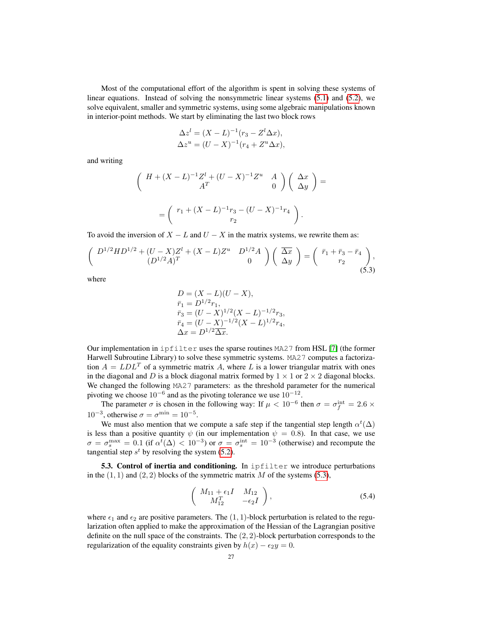Most of the computational effort of the algorithm is spent in solving these systems of linear equations. Instead of solving the nonsymmetric linear systems [\(5.1\)](#page-25-0) and [\(5.2\)](#page-25-1), we solve equivalent, smaller and symmetric systems, using some algebraic manipulations known in interior-point methods. We start by eliminating the last two block rows

$$
\Delta z^{l} = (X - L)^{-1} (r_3 - Z^{l} \Delta x),
$$
  
\n
$$
\Delta z^{u} = (U - X)^{-1} (r_4 + Z^{u} \Delta x),
$$

and writing

$$
\begin{pmatrix}\nH + (X - L)^{-1}Z^{l} + (U - X)^{-1}Z^{u} & A \\
A^{T} & 0\n\end{pmatrix}\n\begin{pmatrix}\n\Delta x \\
\Delta y\n\end{pmatrix} =
$$
\n
$$
= \begin{pmatrix}\nr_1 + (X - L)^{-1}r_3 - (U - X)^{-1}r_4 \\
r_2\n\end{pmatrix}.
$$

To avoid the inversion of  $X - L$  and  $U - X$  in the matrix systems, we rewrite them as:

$$
\begin{pmatrix}\nD^{1/2}HD^{1/2} + (U - X)Z^l + (X - L)Z^u & D^{1/2}A \\
(D^{1/2}A)^T & 0\n\end{pmatrix}\n\begin{pmatrix}\n\overline{\Delta x} \\
\Delta y\n\end{pmatrix} = \begin{pmatrix}\n\overline{r}_1 + \overline{r}_3 - \overline{r}_4 \\
r_2\n\end{pmatrix},
$$
\n(5.3)

where

<span id="page-26-0"></span>
$$
D = (X - L)(U - X),
$$
  
\n
$$
\bar{r}_1 = D^{1/2}r_1,
$$
  
\n
$$
\bar{r}_3 = (U - X)^{1/2}(X - L)^{-1/2}r_3,
$$
  
\n
$$
\bar{r}_4 = (U - X)^{-1/2}(X - L)^{1/2}r_4,
$$
  
\n
$$
\Delta x = D^{1/2}\overline{\Delta x}.
$$

Our implementation in ipfilter uses the sparse routines MA27 from HSL [\[7\]](#page-30-8) (the former Harwell Subroutine Library) to solve these symmetric systems. MA27 computes a factorization  $A = LDL^T$  of a symmetric matrix A, where L is a lower triangular matrix with ones in the diagonal and D is a block diagonal matrix formed by  $1 \times 1$  or  $2 \times 2$  diagonal blocks. We changed the following MA27 parameters: as the threshold parameter for the numerical pivoting we choose  $10^{-6}$  and as the pivoting tolerance we use  $10^{-12}$ .

The parameter  $\sigma$  is chosen in the following way: If  $\mu < 10^{-6}$  then  $\sigma = \sigma_f^{\text{int}} = 2.6 \times$  $10^{-3}$ , otherwise  $\sigma = \sigma^{\min} = 10^{-5}$ .

We must also mention that we compute a safe step if the tangential step length  $\alpha^t(\Delta)$ is less than a positive quantity  $\psi$  (in our implementation  $\psi = 0.8$ ). In that case, we use  $\sigma = \sigma_s^{\max} = 0.1$  (if  $\alpha^t(\Delta) < 10^{-3}$ ) or  $\sigma = \sigma_s^{\text{int}} = 10^{-3}$  (otherwise) and recompute the tangential step  $s^t$  by resolving the system [\(5.2\)](#page-25-1).

5.3. Control of inertia and conditioning. In  $\text{ipfilter}$  we introduce perturbations in the  $(1, 1)$  and  $(2, 2)$  blocks of the symmetric matrix M of the systems [\(5.3\)](#page-26-0),

<span id="page-26-1"></span>
$$
\left(\begin{array}{cc} M_{11} + \epsilon_1 I & M_{12} \\ M_{12}^T & -\epsilon_2 I \end{array}\right),\tag{5.4}
$$

where  $\epsilon_1$  and  $\epsilon_2$  are positive parameters. The (1, 1)-block perturbation is related to the regularization often applied to make the approximation of the Hessian of the Lagrangian positive definite on the null space of the constraints. The  $(2, 2)$ -block perturbation corresponds to the regularization of the equality constraints given by  $h(x) - \epsilon_2 y = 0$ .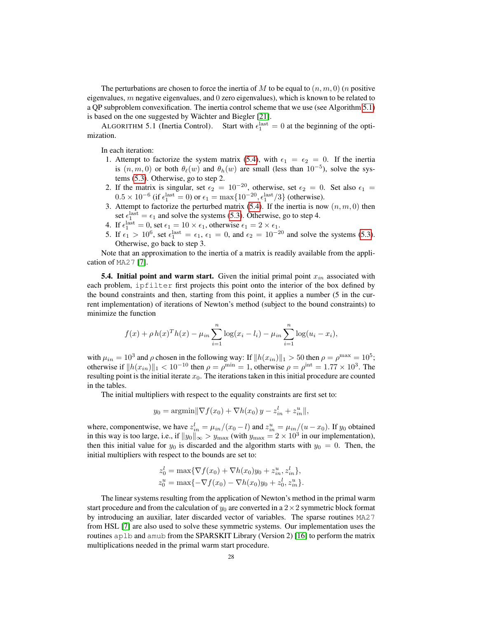The perturbations are chosen to force the inertia of M to be equal to  $(n, m, 0)$  (n positive eigenvalues,  $m$  negative eigenvalues, and  $0$  zero eigenvalues), which is known to be related to a QP subproblem convexification. The inertia control scheme that we use (see Algorithm [5.1\)](#page-27-0) is based on the one suggested by Wächter and Biegler [\[21\]](#page-31-11).

<span id="page-27-0"></span>ALGORITHM 5.1 (Inertia Control). Start with  $\epsilon_1^{\text{last}} = 0$  at the beginning of the optimization.

In each iteration:

- 1. Attempt to factorize the system matrix [\(5.4\)](#page-26-1), with  $\epsilon_1 = \epsilon_2 = 0$ . If the inertia is  $(n, m, 0)$  or both  $\theta_{\ell}(w)$  and  $\theta_h(w)$  are small (less than  $10^{-5}$ ), solve the systems [\(5.3\)](#page-26-0). Otherwise, go to step 2.
- 2. If the matrix is singular, set  $\epsilon_2 = 10^{-20}$ , otherwise, set  $\epsilon_2 = 0$ . Set also  $\epsilon_1 =$  $0.5 \times 10^{-6}$  (if  $\epsilon_1^{\text{last}} = 0$ ) or  $\epsilon_1 = \max\{10^{-20}, \epsilon_1^{\text{last}}/3\}$  (otherwise).
- 3. Attempt to factorize the perturbed matrix [\(5.4\)](#page-26-1). If the inertia is now  $(n, m, 0)$  then set  $\epsilon_1^{\text{last}} = \epsilon_1$  and solve the systems [\(5.3\)](#page-26-0). Otherwise, go to step 4.
- 4. If  $\epsilon_1^{\text{last}} = 0$ , set  $\epsilon_1 = 10 \times \epsilon_1$ , otherwise  $\epsilon_1 = 2 \times \epsilon_1$ .
- 5. If  $\epsilon_1 > 10^6$ , set  $\epsilon_1^{\text{last}} = \epsilon_1$ ,  $\epsilon_1 = 0$ , and  $\epsilon_2 = 10^{-20}$  and solve the systems [\(5.3\)](#page-26-0). Otherwise, go back to step 3.

Note that an approximation to the inertia of a matrix is readily available from the application of MA27 [\[7\]](#page-30-8).

**5.4. Initial point and warm start.** Given the initial primal point  $x_{in}$  associated with each problem, ipfilter first projects this point onto the interior of the box defined by the bound constraints and then, starting from this point, it applies a number (5 in the current implementation) of iterations of Newton's method (subject to the bound constraints) to minimize the function

$$
f(x) + \rho h(x)^{T} h(x) - \mu_{in} \sum_{i=1}^{n} \log(x_i - l_i) - \mu_{in} \sum_{i=1}^{n} \log(u_i - x_i),
$$

with  $\mu_{in} = 10^3$  and  $\rho$  chosen in the following way: If  $||h(x_{in})||_1 > 50$  then  $\rho = \rho^{\max} = 10^5$ ; otherwise if  $||h(x_{in})||_1 < 10^{-10}$  then  $\rho = \rho^{\min} = 1$ , otherwise  $\rho = \rho^{\text{int}} = 1.77 \times 10^3$ . The resulting point is the initial iterate  $x<sub>0</sub>$ . The iterations taken in this initial procedure are counted in the tables.

The initial multipliers with respect to the equality constraints are first set to:

$$
y_0 = \operatorname{argmin} \|\nabla f(x_0) + \nabla h(x_0) y - z_{in}^l + z_{in}^u\|,
$$

where, componentwise, we have  $z_{in}^l = \mu_{in}/(x_0 - l)$  and  $z_{in}^u = \mu_{in}/(u - x_0)$ . If  $y_0$  obtained in this way is too large, i.e., if  $||y_0||_{\infty} > y_{\text{max}}$  (with  $y_{\text{max}} = 2 \times 10^3$  in our implementation), then this initial value for  $y_0$  is discarded and the algorithm starts with  $y_0 = 0$ . Then, the initial multipliers with respect to the bounds are set to:

$$
z_0^l = \max \{ \nabla f(x_0) + \nabla h(x_0)y_0 + z_{in}^u, z_{in}^l \},
$$
  
\n
$$
z_0^u = \max \{ -\nabla f(x_0) - \nabla h(x_0)y_0 + z_0^l, z_{in}^u \}.
$$

The linear systems resulting from the application of Newton's method in the primal warm start procedure and from the calculation of  $y_0$  are converted in a  $2 \times 2$  symmetric block format by introducing an auxiliar, later discarded vector of variables. The sparse routines MA27 from HSL [\[7\]](#page-30-8) are also used to solve these symmetric systems. Our implementation uses the routines aplb and amub from the SPARSKIT Library (Version 2) [\[16\]](#page-31-13) to perform the matrix multiplications needed in the primal warm start procedure.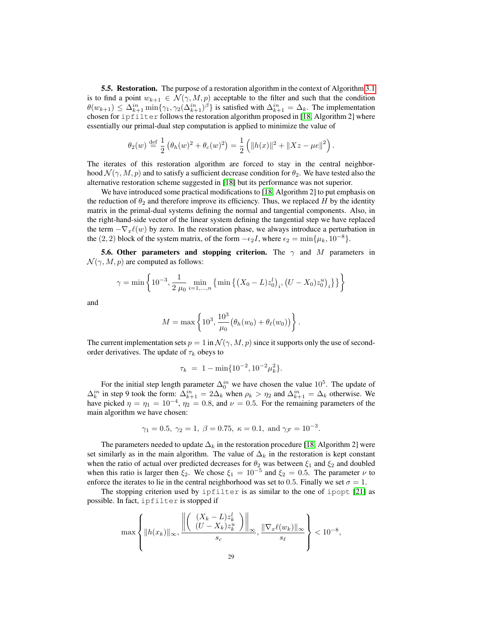**5.5. Restoration.** The purpose of a restoration algorithm in the context of Algorithm [3.1](#page-15-0) is to find a point  $w_{k+1} \in \mathcal{N}(\gamma, M, p)$  acceptable to the filter and such that the condition  $\theta(w_{k+1}) \leq \Delta_{k+1}^{in} \min\{\gamma_1, \gamma_2(\Delta_{k+1}^{in})^{\beta}\}\$  is satisfied with  $\Delta_{k+1}^{in} = \Delta_k$ . The implementation chosen for ipfilter follows the restoration algorithm proposed in [\[18,](#page-31-0) Algorithm 2] where essentially our primal-dual step computation is applied to minimize the value of

$$
\theta_2(w) \stackrel{\text{def}}{=} \frac{1}{2} \left( \theta_h(w)^2 + \theta_c(w)^2 \right) = \frac{1}{2} \left( \|h(x)\|^2 + \|Xz - \mu e\|^2 \right).
$$

The iterates of this restoration algorithm are forced to stay in the central neighborhood  $\mathcal{N}(\gamma, M, p)$  and to satisfy a sufficient decrease condition for  $\theta_2$ . We have tested also the alternative restoration scheme suggested in [\[18\]](#page-31-0) but its performance was not superior.

We have introduced some practical modifications to [\[18,](#page-31-0) Algorithm 2] to put emphasis on the reduction of  $\theta_2$  and therefore improve its efficiency. Thus, we replaced H by the identity matrix in the primal-dual systems defining the normal and tangential components. Also, in the right-hand-side vector of the linear system defining the tangential step we have replaced the term  $-\nabla_x \ell(w)$  by zero. In the restoration phase, we always introduce a perturbation in the (2, 2) block of the system matrix, of the form  $-\epsilon_2 I$ , where  $\epsilon_2 = \min\{\mu_k, 10^{-8}\}.$ 

**5.6. Other parameters and stopping criterion.** The  $\gamma$  and M parameters in  $\mathcal{N}(\gamma, M, p)$  are computed as follows:

$$
\gamma = \min\left\{10^{-3}, \frac{1}{2\mu_0} \min_{i=1,\dots,n} \left\{ \min\left\{ (X_0 - L) z_0^l \right\}_i, \left( U - X_0 z_0^u \right)_i \right\} \right\}
$$

and

$$
M = \max \left\{ 10^3, \frac{10^3}{\mu_0} \left( \theta_h(w_0) + \theta_\ell(w_0) \right) \right\}.
$$

The current implementation sets  $p = 1$  in  $\mathcal{N}(\gamma, M, p)$  since it supports only the use of secondorder derivatives. The update of  $\tau_k$  obeys to

$$
\tau_k = 1 - \min\{10^{-2}, 10^{-2} \mu_k^2\}.
$$

For the initial step length parameter  $\Delta_0^{in}$  we have chosen the value  $10^5$ . The update of  $\Delta_k^{in}$  in step 9 took the form:  $\Delta_{k+1}^{in} = 2\Delta_k$  when  $\rho_k > \eta_2$  and  $\Delta_{k+1}^{in} = \Delta_k$  otherwise. We have picked  $\eta = \eta_1 = 10^{-4}$ ,  $\eta_2 = 0.8$ , and  $\nu = 0.5$ . For the remaining parameters of the main algorithm we have chosen:

$$
\gamma_1 = 0.5, \ \gamma_2 = 1, \ \beta = 0.75, \ \kappa = 0.1, \text{ and } \gamma_{\mathcal{F}} = 10^{-3}.
$$

The parameters needed to update  $\Delta_k$  in the restoration procedure [\[18,](#page-31-0) Algorithm 2] were set similarly as in the main algorithm. The value of  $\Delta_k$  in the restoration is kept constant when the ratio of actual over predicted decreases for  $\theta_2$  was between  $\xi_1$  and  $\xi_2$  and doubled when this ratio is larger then  $\xi_2$ . We chose  $\xi_1 = 10^{-5}$  and  $\xi_2 = 0.5$ . The parameter  $\nu$  to enforce the iterates to lie in the central neighborhood was set to 0.5. Finally we set  $\sigma = 1$ .

The stopping criterion used by ipfilter is as similar to the one of ipopt [\[21\]](#page-31-11) as possible. In fact, ipfilter is stopped if

$$
\max\left\{\|h(x_k)\|_{\infty}, \frac{\left\|\left(\begin{array}{c} (X_k - L)z_k^l \\ (U - X_k)z_k^u \end{array}\right)\right\|_{\infty}}{s_c}, \frac{\|\nabla_x\ell(w_k)\|_{\infty}}{s_\ell}\right\} < 10^{-8},\right.
$$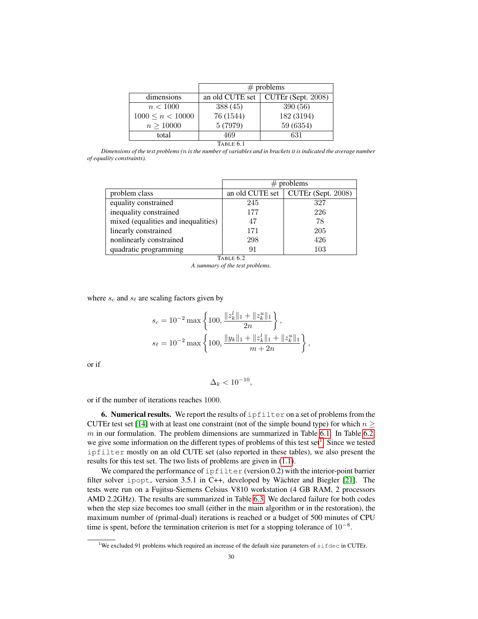|                       | $#$ problems    |                    |  |
|-----------------------|-----------------|--------------------|--|
| dimensions            | an old CUTE set | CUTEr (Sept. 2008) |  |
| n < 1000              | 388 (45)        | 390 (56)           |  |
| $1000 \leq n < 10000$ | 76 (1544)       | 182 (3194)         |  |
| n > 10000             | 5 (7979)        | 59 (6354)          |  |
| total                 | 469             | 631                |  |
| TABLE 6.1             |                 |                    |  |

<span id="page-29-0"></span>*Dimensions of the test problems (*n *is the number of variables and in brackets it is indicated the average number of equality constraints).*

|                                     | $#$ problems    |                    |  |
|-------------------------------------|-----------------|--------------------|--|
| problem class                       | an old CUTE set | CUTEr (Sept. 2008) |  |
| equality constrained                | 245             | 327                |  |
| inequality constrained              | 177             | 226                |  |
| mixed (equalities and inequalities) | 47              | 78                 |  |
| linearly constrained                | 171             | 205                |  |
| nonlinearly constrained             | 298             | 426                |  |
| quadratic programming               | 91              | 103                |  |

TABLE 6.2

<span id="page-29-1"></span>*A summary of the test problems.*

where  $s_c$  and  $s_{\ell}$  are scaling factors given by

$$
s_c = 10^{-2} \max \left\{ 100, \frac{\|z_k^l\|_1 + \|z_k^u\|_1}{2n} \right\},
$$
  

$$
s_\ell = 10^{-2} \max \left\{ 100, \frac{\|y_k\|_1 + \|z_k^l\|_1 + \|z_k^u\|_1}{m + 2n} \right\},
$$

or if

$$
\Delta_k < 10^{-10},
$$

or if the number of iterations reaches 1000.

6. Numerical results. We report the results of  $\text{ipfilter}$  on a set of problems from the CUTEr test set [\[14\]](#page-31-10) with at least one constraint (not of the simple bound type) for which  $n \geq$  $m$  in our formulation. The problem dimensions are summarized in Table [6.1.](#page-29-0) In Table [6.2,](#page-29-1) we give some information on the different types of problems of this test set<sup>[1](#page-29-2)</sup>. Since we tested ipfilter mostly on an old CUTE set (also reported in these tables), we also present the results for this test set. The two lists of problems are given in [\(1.1\)](#page-1-2).

We compared the performance of  $ipfilter$  (version 0.2) with the interior-point barrier filter solver ipopt, version 3.5.1 in C++, developed by Wächter and Biegler [\[21\]](#page-31-11). The tests were run on a Fujitsu-Siemens Celsius V810 workstation (4 GB RAM, 2 processors AMD 2.2GHz). The results are summarized in Table [6.3.](#page-30-9) We declared failure for both codes when the step size becomes too small (either in the main algorithm or in the restoration), the maximum number of (primal-dual) iterations is reached or a budget of 500 minutes of CPU time is spent, before the termination criterion is met for a stopping tolerance of  $10^{-8}$ .

<span id="page-29-2"></span><sup>&</sup>lt;sup>1</sup>We excluded 91 problems which required an increase of the default size parameters of sifdec in CUTEr.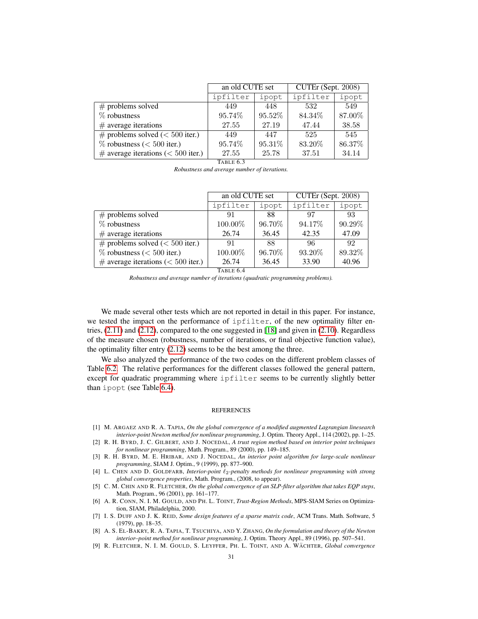|                                       | an old CUTE set     |         | CUTEr (Sept. 2008) |        |
|---------------------------------------|---------------------|---------|--------------------|--------|
|                                       | ipfilter            | ipopt   | ipfilter           | ipopt  |
| $#$ problems solved                   | 449                 | 448     | 532                | 549    |
| $%$ robustness                        | 95.74%              | 95.52\% | 84.34%             | 87.00% |
| $#$ average iterations                | 27.55               | 27.19   | 47.44              | 38.58  |
| $\#$ problems solved (< 500 iter.)    | 449                 | 447     | 525                | 545    |
| $\%$ robustness (< 500 iter.)         | 95.74%              | 95.31%  | 83.20%             | 86.37% |
| $\#$ average iterations (< 500 iter.) | 27.55               | 25.78   | 37.51              | 34.14  |
|                                       | TARLE <sub>63</sub> |         |                    |        |

<span id="page-30-9"></span>

| Robustness and average number of iterations. |  |  |  |  |
|----------------------------------------------|--|--|--|--|
|----------------------------------------------|--|--|--|--|

|                                       | an old CUTE set |        | CUTEr (Sept. 2008) |        |
|---------------------------------------|-----------------|--------|--------------------|--------|
|                                       | ipfilter        | ipopt  | ipfilter           | ipopt  |
| $#$ problems solved                   | 91              | 88     | 97                 | 93     |
| $\%$ robustness                       | 100.00%         | 96.70% | 94.17%             | 90.29% |
| $#$ average iterations                | 26.74           | 36.45  | 42.35              | 47.09  |
| $\#$ problems solved (< 500 iter.)    | 91              | 88     | 96                 | 92     |
| $\%$ robustness (< 500 iter.)         | 100.00%         | 96.70% | 93.20%             | 89.32% |
| $\#$ average iterations (< 500 iter.) | 26.74           | 36.45  | 33.90              | 40.96  |

TABLE 6.4

<span id="page-30-10"></span>*Robustness and average number of iterations (quadratic programming problems).*

We made several other tests which are not reported in detail in this paper. For instance, we tested the impact on the performance of ipfilter, of the new optimality filter entries, [\(2.11\)](#page-3-3) and [\(2.12\)](#page-3-2), compared to the one suggested in [\[18\]](#page-31-0) and given in [\(2.10\)](#page-3-1). Regardless of the measure chosen (robustness, number of iterations, or final objective function value), the optimality filter entry [\(2.12\)](#page-3-2) seems to be the best among the three.

We also analyzed the performance of the two codes on the different problem classes of Table [6.2.](#page-29-1) The relative performances for the different classes followed the general pattern, except for quadratic programming where ipfilter seems to be currently slightly better than ipopt (see Table [6.4\)](#page-30-10).

## REFERENCES

- <span id="page-30-0"></span>[1] M. ARGAEZ AND R. A. TAPIA, *On the global convergence of a modified augmented Lagrangian linesearch interior-point Newton method for nonlinear programming*, J. Optim. Theory Appl., 114 (2002), pp. 1–25.
- <span id="page-30-1"></span>[2] R. H. BYRD, J. C. GILBERT, AND J. NOCEDAL, *A trust region method based on interior point techniques for nonlinear programming*, Math. Program., 89 (2000), pp. 149–185.
- <span id="page-30-4"></span>[3] R. H. BYRD, M. E. HRIBAR, AND J. NOCEDAL, *An interior point algorithm for large-scale nonlinear programming*, SIAM J. Optim., 9 (1999), pp. 877–900.
- <span id="page-30-2"></span>[4] L. CHEN AND D. GOLDFARB, *Interior-point*  $\ell_2$ -penalty methods for nonlinear programming with strong *global convergence properties*, Math. Program., (2008, to appear).
- <span id="page-30-6"></span>[5] C. M. CHIN AND R. FLETCHER, *On the global convergence of an SLP-filter algorithm that takes EQP steps*, Math. Program., 96 (2001), pp. 161–177.
- <span id="page-30-7"></span>[6] A. R. CONN, N. I. M. GOULD, AND PH. L. TOINT, *Trust-Region Methods*, MPS-SIAM Series on Optimization, SIAM, Philadelphia, 2000.
- <span id="page-30-8"></span>[7] I. S. DUFF AND J. K. REID, *Some design features of a sparse matrix code*, ACM Trans. Math. Software, 5 (1979), pp. 18–35.
- <span id="page-30-3"></span>[8] A. S. EL-BAKRY, R. A. TAPIA, T. TSUCHIYA, AND Y. ZHANG, *On the formulation and theory of the Newton interior–point method for nonlinear programming*, J. Optim. Theory Appl., 89 (1996), pp. 507–541.
- <span id="page-30-5"></span>[9] R. FLETCHER, N. I. M. GOULD, S. LEYFFER, PH. L. TOINT, AND A. WÄCHTER, Global convergence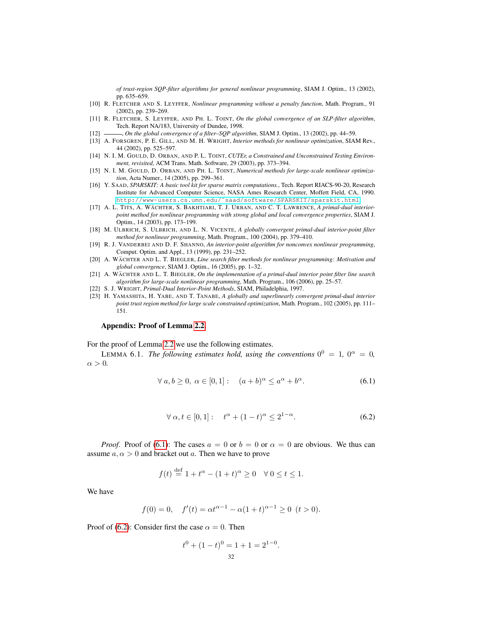*of trust-region SQP-filter algorithms for general nonlinear programming*, SIAM J. Optim., 13 (2002), pp. 635–659.

- <span id="page-31-7"></span>[10] R. FLETCHER AND S. LEYFFER, *Nonlinear programming without a penalty function*, Math. Program., 91 (2002), pp. 239–269.
- <span id="page-31-8"></span>[11] R. FLETCHER, S. LEYFFER, AND PH. L. TOINT, *On the global convergence of an SLP-filter algorithm*, Tech. Report NA/183, University of Dundee, 1998.
- <span id="page-31-9"></span>[12] , *On the global convergence of a filter–SQP algorithm*, SIAM J. Optim., 13 (2002), pp. 44–59.
- <span id="page-31-1"></span>[13] A. FORSGREN, P. E. GILL, AND M. H. WRIGHT, *Interior methods for nonlinear optimization*, SIAM Rev., 44 (2002), pp. 525–597.
- <span id="page-31-10"></span>[14] N. I. M. GOULD, D. ORBAN, AND P. L. TOINT, *CUTEr, a Constrained and Unconstrained Testing Environment, revisited*, ACM Trans. Math. Software, 29 (2003), pp. 373–394.
- <span id="page-31-2"></span>[15] N. I. M. GOULD, D. ORBAN, AND PH. L. TOINT, *Numerical methods for large-scale nonlinear optimization*, Acta Numer., 14 (2005), pp. 299–361.
- <span id="page-31-13"></span>[16] Y. SAAD, *SPARSKIT: A basic tool kit for sparse matrix computations.*, Tech. Report RIACS-90-20, Research Institute for Advanced Computer Science, NASA Ames Research Center, Moffett Field, CA, 1990. http://www-users.cs.umn.edu/~saad/software/SPARSKIT/sparskit.html.
- <span id="page-31-3"></span>[17] A. L. TITS, A. WÄCHTER, S. BAKHTIARI, T. J. URBAN, AND C. T. LAWRENCE, *A primal-dual interiorpoint method for nonlinear programming with strong global and local convergence properties*, SIAM J. Optim., 14 (2003), pp. 173–199.
- <span id="page-31-0"></span>[18] M. ULBRICH, S. ULBRICH, AND L. N. VICENTE, *A globally convergent primal-dual interior-point filter method for nonlinear programming*, Math. Program., 100 (2004), pp. 379–410.
- <span id="page-31-6"></span>[19] R. J. VANDERBEI AND D. F. SHANNO, *An interior-point algorithm for nonconvex nonlinear programming*, Comput. Optim. and Appl., 13 (1999), pp. 231–252.
- <span id="page-31-4"></span>[20] A. WACHTER AND L. T. BIEGLER, *Line search filter methods for nonlinear programming: Motivation and global convergence*, SIAM J. Optim., 16 (2005), pp. 1–32.
- <span id="page-31-11"></span>[21] A. WÄCHTER AND L. T. BIEGLER, *On the implementation of a primal-dual interior point filter line search algorithm for large-scale nonlinear programming*, Math. Program., 106 (2006), pp. 25–57.
- <span id="page-31-12"></span>[22] S. J. WRIGHT, *Primal-Dual Interior-Point Methods*, SIAM, Philadelphia, 1997.
- <span id="page-31-5"></span>[23] H. YAMASHITA, H. YABE, AND T. TANABE, *A globally and superlinearly convergent primal-dual interior point trust region method for large scale constrained optimization*, Math. Program., 102 (2005), pp. 111– 151.

## Appendix: Proof of Lemma [2.2.](#page-5-4)

For the proof of Lemma [2.2](#page-5-4) we use the following estimates.

<span id="page-31-15"></span><span id="page-31-14"></span>LEMMA 6.1. *The following estimates hold, using the conventions*  $0^0 = 1$ ,  $0^\alpha = 0$ ,  $\alpha > 0$ .

$$
\forall a, b \ge 0, \ \alpha \in [0, 1]: \quad (a+b)^{\alpha} \le a^{\alpha} + b^{\alpha}.\tag{6.1}
$$

$$
\forall \alpha, t \in [0, 1]: \quad t^{\alpha} + (1 - t)^{\alpha} \le 2^{1 - \alpha}.
$$

*Proof.* Proof of [\(6.1\)](#page-31-14): The cases  $a = 0$  or  $b = 0$  or  $\alpha = 0$  are obvious. We thus can assume  $a, \alpha > 0$  and bracket out a. Then we have to prove

$$
f(t) \stackrel{\text{def}}{=} 1 + t^{\alpha} - (1 + t)^{\alpha} \ge 0 \quad \forall \ 0 \le t \le 1.
$$

We have

$$
f(0) = 0
$$
,  $f'(t) = \alpha t^{\alpha - 1} - \alpha (1 + t)^{\alpha - 1} \ge 0$   $(t > 0)$ .

Proof of [\(6.2\)](#page-31-15): Consider first the case  $\alpha = 0$ . Then

$$
t^{0} + (1 - t)^{0} = 1 + 1 = 2^{1 - 0}.
$$
  
32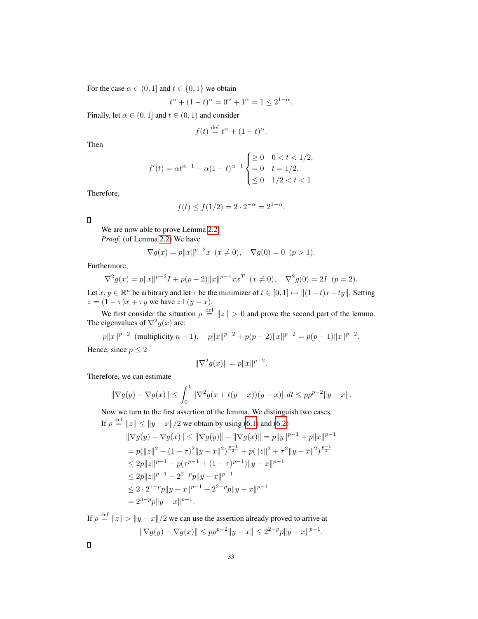For the case  $\alpha \in (0, 1]$  and  $t \in \{0, 1\}$  we obtain

$$
t^{\alpha} + (1 - t)^{\alpha} = 0^{\alpha} + 1^{\alpha} = 1 \le 2^{1 - \alpha}.
$$

Finally, let  $\alpha \in (0, 1]$  and  $t \in (0, 1)$  and consider

$$
f(t) \stackrel{\text{def}}{=} t^{\alpha} + (1 - t)^{\alpha}.
$$

Then

$$
f'(t) = \alpha t^{\alpha - 1} - \alpha (1 - t)^{\alpha - 1} \begin{cases} \ge 0 & 0 < t < 1/2, \\ = 0 & t = 1/2, \\ \le 0 & 1/2 < t < 1. \end{cases}
$$

Therefore,

$$
f(t) \le f(1/2) = 2 \cdot 2^{-\alpha} = 2^{1-\alpha}.
$$

 $\Box$ 

We are now able to prove Lemma [2.2.](#page-5-4) *Proof*. (of Lemma [2.2\)](#page-5-4) We have

$$
\nabla g(x) = p||x||^{p-2}x \ (x \neq 0), \quad \nabla g(0) = 0 \ (p > 1).
$$

Furthermore,

$$
\nabla^2 g(x) = p||x||^{p-2}I + p(p-2)||x||^{p-4}xx^T \ (x \neq 0), \quad \nabla^2 g(0) = 2I \ (p=2).
$$

Let  $x, y \in \mathbb{R}^n$  be arbitrary and let  $\tau$  be the minimizer of  $t \in [0, 1] \mapsto ||(1-t)x + ty||$ . Setting  $z = (1 - \tau)x + \tau y$  we have  $z \bot (y - x)$ .

We first consider the situation  $\rho \stackrel{\text{def}}{=} ||z|| > 0$  and prove the second part of the lemma. The eigenvalues of  $\nabla^2 g(x)$  are:

 $p||x||^{p-2}$  (multiplicity  $n-1$ ),  $p||x||^{p-2} + p(p-2)||x||^{p-2} = p(p-1)||x||^{p-2}$ . Hence, since  $p \leq 2$ 

$$
\|\nabla^2 g(x)\| = p\|x\|^{p-2}.
$$

Therefore, we can estimate

$$
\|\nabla g(y) - \nabla g(x)\| \le \int_0^1 \|\nabla^2 g(x + t(y - x))(y - x)\| \, dt \le p\rho^{p-2} \|y - x\|.
$$

Now we turn to the first assertion of the lemma. We distinguish two cases. If  $\rho \stackrel{\text{def}}{=} ||z|| \le ||y - x||/2$  we obtain by using [\(6.1\)](#page-31-14) and [\(6.2\)](#page-31-15)

$$
\|\nabla g(y) - \nabla g(x)\| \le \|\nabla g(y)\| + \|\nabla g(x)\| = p\|y\|^{p-1} + p\|x\|^{p-1}
$$
  
\n
$$
= p(\|z\|^2 + (1-\tau)^2 \|y-x\|^2)^{\frac{p-1}{2}} + p(\|z\|^2 + \tau^2 \|y-x\|^2)^{\frac{p-1}{2}}
$$
  
\n
$$
\le 2p\|z\|^{p-1} + p(\tau^{p-1} + (1-\tau)^{p-1})\|y-x\|^{p-1}
$$
  
\n
$$
\le 2p\|z\|^{p-1} + 2^{2-p}p\|y-x\|^{p-1}
$$
  
\n
$$
\le 2 \cdot 2^{1-p}p\|y-x\|^{p-1} + 2^{2-p}p\|y-x\|^{p-1}
$$
  
\n
$$
= 2^{3-p}p\|y-x\|^{p-1}.
$$

If  $\rho \stackrel{\text{def}}{=} ||z|| > ||y - x||/2$  we can use the assertion already proved to arrive at  $\|\nabla g(y) - \nabla g(x)\| \leq p\rho^{p-2} \|y - x\| \leq 2^{2-p} p \|y - x\|^{p-1}.$ 

 $\Box$